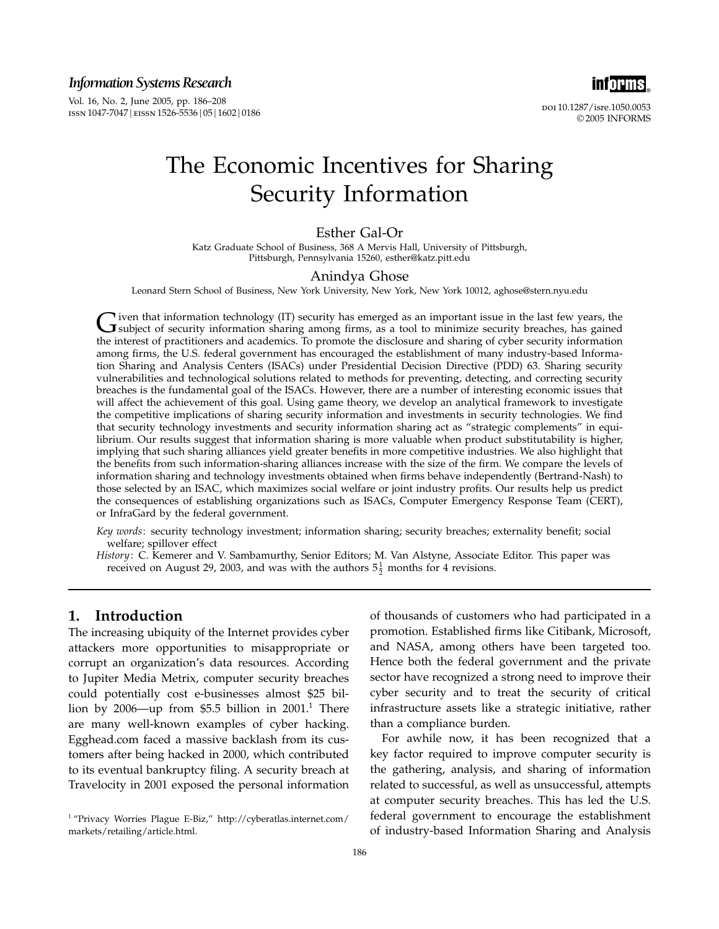*Information Systems Research*

Vol. 16, No. 2, June 2005, pp. 186–208 issn1047-7047 eissn1526-5536 05 1602 0186



doi 10.1287/isre.1050.0053 © 2005 INFORMS

# The Economic Incentives for Sharing Security Information

# Esther Gal-Or

Katz Graduate School of Business, 368 A Mervis Hall, University of Pittsburgh, Pittsburgh, Pennsylvania 15260, esther@katz.pitt.edu

## Anindya Ghose

Leonard Stern School of Business, New York University, New York, New York 10012, aghose@stern.nyu.edu

Given that information technology (IT) security has emerged as an important issue in the last few years, the subject of security information sharing among firms, as a tool to minimize security breaches, has gained the int the interest of practitioners and academics. To promote the disclosure and sharing of cyber security information among firms, the U.S. federal government has encouraged the establishment of many industry-based Information Sharing and Analysis Centers (ISACs) under Presidential Decision Directive (PDD) 63. Sharing security vulnerabilities and technological solutions related to methods for preventing, detecting, and correcting security breaches is the fundamental goal of the ISACs. However, there are a number of interesting economic issues that will affect the achievement of this goal. Using game theory, we develop an analytical framework to investigate the competitive implications of sharing security information and investments in security technologies. We find that security technology investments and security information sharing act as "strategic complements" in equilibrium. Our results suggest that information sharing is more valuable when product substitutability is higher, implying that such sharing alliances yield greater benefits in more competitive industries. We also highlight that the benefits from such information-sharing alliances increase with the size of the firm. We compare the levels of information sharing and technology investments obtained when firms behave independently (Bertrand-Nash) to those selected by an ISAC, which maximizes social welfare or joint industry profits. Our results help us predict the consequences of establishing organizations such as ISACs, Computer Emergency Response Team (CERT), or InfraGard by the federal government.

Key words: security technology investment; information sharing; security breaches; externality benefit; social welfare; spillover effect

History: C. Kemerer and V. Sambamurthy, Senior Editors; M. Van Alstyne, Associate Editor. This paper was received on August 29, 2003, and was with the authors  $5\frac{1}{2}$  months for 4 revisions.

# 1. Introduction

The increasing ubiquity of the Internet provides cyber attackers more opportunities to misappropriate or corrupt an organization's data resources. According to Jupiter Media Metrix, computer security breaches could potentially cost e-businesses almost \$25 billion by 2006—up from \$5.5 billion in 2001.<sup>1</sup> There are many well-known examples of cyber hacking. Egghead.com faced a massive backlash from its customers after being hacked in 2000, which contributed to its eventual bankruptcy filing. A security breach at Travelocity in 2001 exposed the personal information of thousands of customers who had participated in a promotion. Established firms like Citibank, Microsoft, and NASA, among others have been targeted too. Hence both the federal government and the private sector have recognized a strong need to improve their cyber security and to treat the security of critical infrastructure assets like a strategic initiative, rather than a compliance burden.

For awhile now, it has been recognized that a key factor required to improve computer security is the gathering, analysis, and sharing of information related to successful, as well as unsuccessful, attempts at computer security breaches. This has led the U.S. federal government to encourage the establishment of industry-based Information Sharing and Analysis

<sup>1</sup> "Privacy Worries Plague E-Biz," http://cyberatlas.internet.com/ markets/retailing/article.html.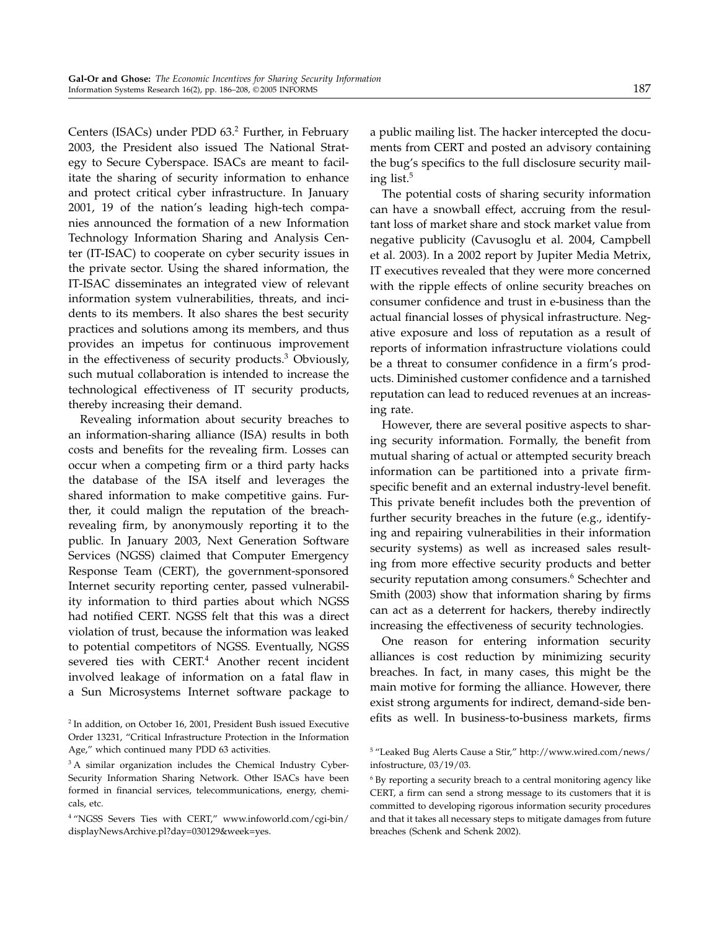Centers (ISACs) under PDD 63.<sup>2</sup> Further, in February 2003, the President also issued The National Strategy to Secure Cyberspace. ISACs are meant to facilitate the sharing of security information to enhance and protect critical cyber infrastructure. In January 2001, 19 of the nation's leading high-tech companies announced the formation of a new Information Technology Information Sharing and Analysis Center (IT-ISAC) to cooperate on cyber security issues in the private sector. Using the shared information, the IT-ISAC disseminates an integrated view of relevant information system vulnerabilities, threats, and incidents to its members. It also shares the best security practices and solutions among its members, and thus provides an impetus for continuous improvement in the effectiveness of security products. $3$  Obviously, such mutual collaboration is intended to increase the technological effectiveness of IT security products, thereby increasing their demand.

Revealing information about security breaches to an information-sharing alliance (ISA) results in both costs and benefits for the revealing firm. Losses can occur when a competing firm or a third party hacks the database of the ISA itself and leverages the shared information to make competitive gains. Further, it could malign the reputation of the breachrevealing firm, by anonymously reporting it to the public. In January 2003, Next Generation Software Services (NGSS) claimed that Computer Emergency Response Team (CERT), the government-sponsored Internet security reporting center, passed vulnerability information to third parties about which NGSS had notified CERT. NGSS felt that this was a direct violation of trust, because the information was leaked to potential competitors of NGSS. Eventually, NGSS severed ties with CERT.<sup>4</sup> Another recent incident involved leakage of information on a fatal flaw in a Sun Microsystems Internet software package to

a public mailing list. The hacker intercepted the documents from CERT and posted an advisory containing the bug's specifics to the full disclosure security mailing list.<sup>5</sup>

The potential costs of sharing security information can have a snowball effect, accruing from the resultant loss of market share and stock market value from negative publicity (Cavusoglu et al. 2004, Campbell et al. 2003). In a 2002 report by Jupiter Media Metrix, IT executives revealed that they were more concerned with the ripple effects of online security breaches on consumer confidence and trust in e-business than the actual financial losses of physical infrastructure. Negative exposure and loss of reputation as a result of reports of information infrastructure violations could be a threat to consumer confidence in a firm's products. Diminished customer confidence and a tarnished reputation can lead to reduced revenues at an increasing rate.

However, there are several positive aspects to sharing security information. Formally, the benefit from mutual sharing of actual or attempted security breach information can be partitioned into a private firmspecific benefit and an external industry-level benefit. This private benefit includes both the prevention of further security breaches in the future (e.g., identifying and repairing vulnerabilities in their information security systems) as well as increased sales resulting from more effective security products and better security reputation among consumers.<sup>6</sup> Schechter and Smith (2003) show that information sharing by firms can act as a deterrent for hackers, thereby indirectly increasing the effectiveness of security technologies.

One reason for entering information security alliances is cost reduction by minimizing security breaches. In fact, in many cases, this might be the main motive for forming the alliance. However, there exist strong arguments for indirect, demand-side benefits as well. In business-to-business markets, firms

<sup>2</sup> In addition, on October 16, 2001, President Bush issued Executive Order 13231, "Critical Infrastructure Protection in the Information Age," which continued many PDD 63 activities.

<sup>&</sup>lt;sup>3</sup>A similar organization includes the Chemical Industry Cyber-Security Information Sharing Network. Other ISACs have been formed in financial services, telecommunications, energy, chemicals, etc.

<sup>4</sup> "NGSS Severs Ties with CERT," www.infoworld.com/cgi-bin/ displayNewsArchive.pl?day=030129&week=yes.

<sup>5</sup> "Leaked Bug Alerts Cause a Stir," http://www.wired.com/news/ infostructure, 03/19/03.

 $6$  By reporting a security breach to a central monitoring agency like CERT, a firm can send a strong message to its customers that it is committed to developing rigorous information security procedures and that it takes all necessary steps to mitigate damages from future breaches (Schenk and Schenk 2002).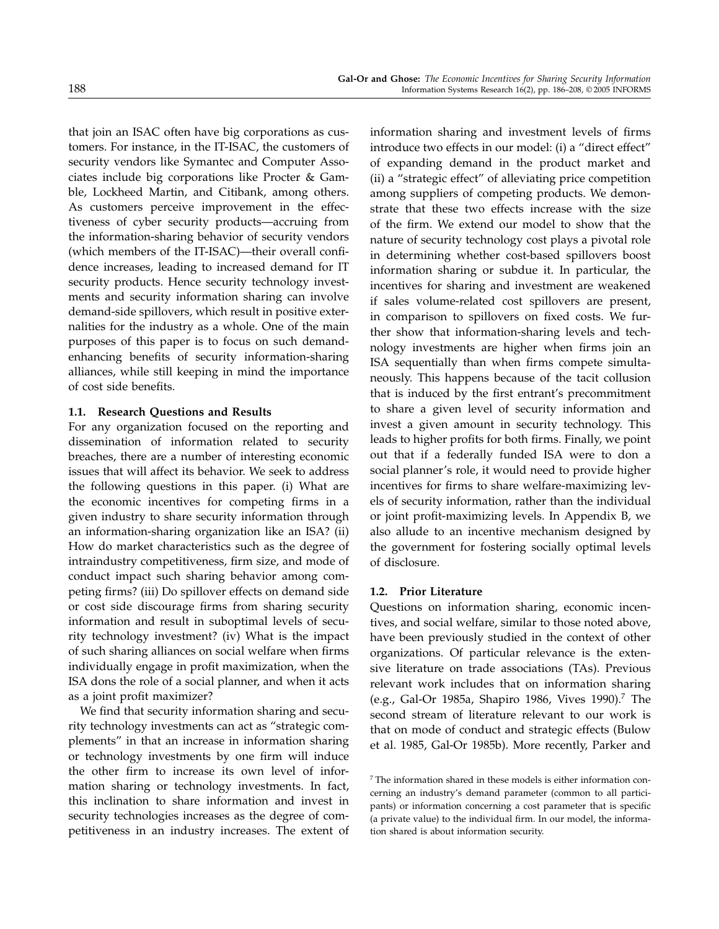that join an ISAC often have big corporations as customers. For instance, in the IT-ISAC, the customers of security vendors like Symantec and Computer Associates include big corporations like Procter & Gamble, Lockheed Martin, and Citibank, among others. As customers perceive improvement in the effectiveness of cyber security products—accruing from the information-sharing behavior of security vendors (which members of the IT-ISAC)—their overall confidence increases, leading to increased demand for IT security products. Hence security technology investments and security information sharing can involve demand-side spillovers, which result in positive externalities for the industry as a whole. One of the main purposes of this paper is to focus on such demandenhancing benefits of security information-sharing alliances, while still keeping in mind the importance of cost side benefits.

## 1.1. Research Questions and Results

For any organization focused on the reporting and dissemination of information related to security breaches, there are a number of interesting economic issues that will affect its behavior. We seek to address the following questions in this paper. (i) What are the economic incentives for competing firms in a given industry to share security information through an information-sharing organization like an ISA? (ii) How do market characteristics such as the degree of intraindustry competitiveness, firm size, and mode of conduct impact such sharing behavior among competing firms? (iii) Do spillover effects on demand side or cost side discourage firms from sharing security information and result in suboptimal levels of security technology investment? (iv) What is the impact of such sharing alliances on social welfare when firms individually engage in profit maximization, when the ISA dons the role of a social planner, and when it acts as a joint profit maximizer?

We find that security information sharing and security technology investments can act as "strategic complements" in that an increase in information sharing or technology investments by one firm will induce the other firm to increase its own level of information sharing or technology investments. In fact, this inclination to share information and invest in security technologies increases as the degree of competitiveness in an industry increases. The extent of information sharing and investment levels of firms introduce two effects in our model: (i) a "direct effect" of expanding demand in the product market and (ii) a "strategic effect" of alleviating price competition among suppliers of competing products. We demonstrate that these two effects increase with the size of the firm. We extend our model to show that the nature of security technology cost plays a pivotal role in determining whether cost-based spillovers boost information sharing or subdue it. In particular, the incentives for sharing and investment are weakened if sales volume-related cost spillovers are present, in comparison to spillovers on fixed costs. We further show that information-sharing levels and technology investments are higher when firms join an ISA sequentially than when firms compete simultaneously. This happens because of the tacit collusion that is induced by the first entrant's precommitment to share a given level of security information and invest a given amount in security technology. This leads to higher profits for both firms. Finally, we point out that if a federally funded ISA were to don a social planner's role, it would need to provide higher incentives for firms to share welfare-maximizing levels of security information, rather than the individual or joint profit-maximizing levels. In Appendix B, we also allude to an incentive mechanism designed by the government for fostering socially optimal levels of disclosure.

# 1.2. Prior Literature

Questions on information sharing, economic incentives, and social welfare, similar to those noted above, have been previously studied in the context of other organizations. Of particular relevance is the extensive literature on trade associations (TAs). Previous relevant work includes that on information sharing (e.g., Gal-Or 1985a, Shapiro 1986, Vives 1990).<sup>7</sup> The second stream of literature relevant to our work is that on mode of conduct and strategic effects (Bulow et al. 1985, Gal-Or 1985b). More recently, Parker and

<sup>7</sup> The information shared in these models is either information concerning an industry's demand parameter (common to all participants) or information concerning a cost parameter that is specific (a private value) to the individual firm. In our model, the information shared is about information security.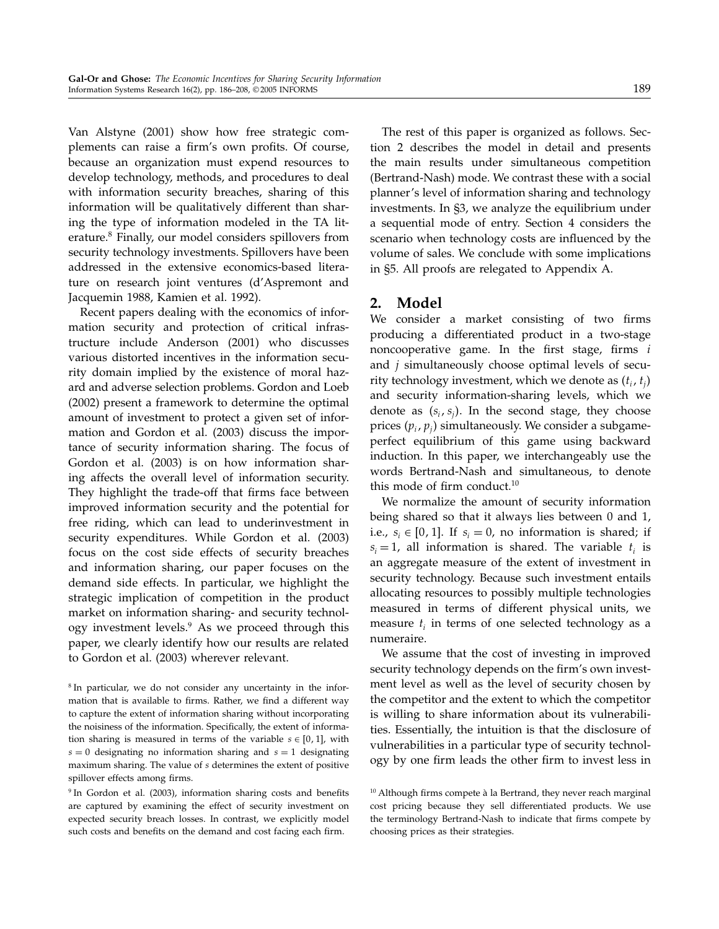Van Alstyne (2001) show how free strategic complements can raise a firm's own profits. Of course, because an organization must expend resources to develop technology, methods, and procedures to deal with information security breaches, sharing of this information will be qualitatively different than sharing the type of information modeled in the TA literature.<sup>8</sup> Finally, our model considers spillovers from security technology investments. Spillovers have been addressed in the extensive economics-based literature on research joint ventures (d'Aspremont and Jacquemin 1988, Kamien et al. 1992).

Recent papers dealing with the economics of information security and protection of critical infrastructure include Anderson (2001) who discusses various distorted incentives in the information security domain implied by the existence of moral hazard and adverse selection problems. Gordon and Loeb (2002) present a framework to determine the optimal amount of investment to protect a given set of information and Gordon et al. (2003) discuss the importance of security information sharing. The focus of Gordon et al. (2003) is on how information sharing affects the overall level of information security. They highlight the trade-off that firms face between improved information security and the potential for free riding, which can lead to underinvestment in security expenditures. While Gordon et al. (2003) focus on the cost side effects of security breaches and information sharing, our paper focuses on the demand side effects. In particular, we highlight the strategic implication of competition in the product market on information sharing- and security technology investment levels.<sup>9</sup> As we proceed through this paper, we clearly identify how our results are related to Gordon et al. (2003) wherever relevant.

<sup>9</sup> In Gordon et al. (2003), information sharing costs and benefits are captured by examining the effect of security investment on expected security breach losses. In contrast, we explicitly model such costs and benefits on the demand and cost facing each firm.

The rest of this paper is organized as follows. Section 2 describes the model in detail and presents the main results under simultaneous competition (Bertrand-Nash) mode. We contrast these with a social planner's level of information sharing and technology investments. In §3, we analyze the equilibrium under a sequential mode of entry. Section 4 considers the scenario when technology costs are influenced by the volume of sales. We conclude with some implications in §5. All proofs are relegated to Appendix A.

# 2. Model

We consider a market consisting of two firms producing a differentiated product in a two-stage noncooperative game. In the first stage, firms  $i$ and  $j$  simultaneously choose optimal levels of security technology investment, which we denote as  $(t_i, t_i)$ and security information-sharing levels, which we denote as  $(s_i, s_j)$ . In the second stage, they choose prices  $(p_i, p_j)$  simultaneously. We consider a subgameperfect equilibrium of this game using backward induction. In this paper, we interchangeably use the words Bertrand-Nash and simultaneous, to denote this mode of firm conduct. $10$ 

We normalize the amount of security information being shared so that it always lies between 0 and 1, i.e.,  $s_i \in [0, 1]$ . If  $s_i = 0$ , no information is shared; if  $s_i = 1$ , all information is shared. The variable  $t_i$  is an aggregate measure of the extent of investment in security technology. Because such investment entails allocating resources to possibly multiple technologies measured in terms of different physical units, we measure  $t_i$  in terms of one selected technology as a numeraire.

We assume that the cost of investing in improved security technology depends on the firm's own investment level as well as the level of security chosen by the competitor and the extent to which the competitor is willing to share information about its vulnerabilities. Essentially, the intuition is that the disclosure of vulnerabilities in a particular type of security technology by one firm leads the other firm to invest less in

<sup>&</sup>lt;sup>8</sup> In particular, we do not consider any uncertainty in the information that is available to firms. Rather, we find a different way to capture the extent of information sharing without incorporating the noisiness of the information. Specifically, the extent of information sharing is measured in terms of the variable  $s \in [0, 1]$ , with  $s = 0$  designating no information sharing and  $s = 1$  designating maximum sharing. The value of s determines the extent of positive spillover effects among firms.

 $10$  Although firms compete à la Bertrand, they never reach marginal cost pricing because they sell differentiated products. We use the terminology Bertrand-Nash to indicate that firms compete by choosing prices as their strategies.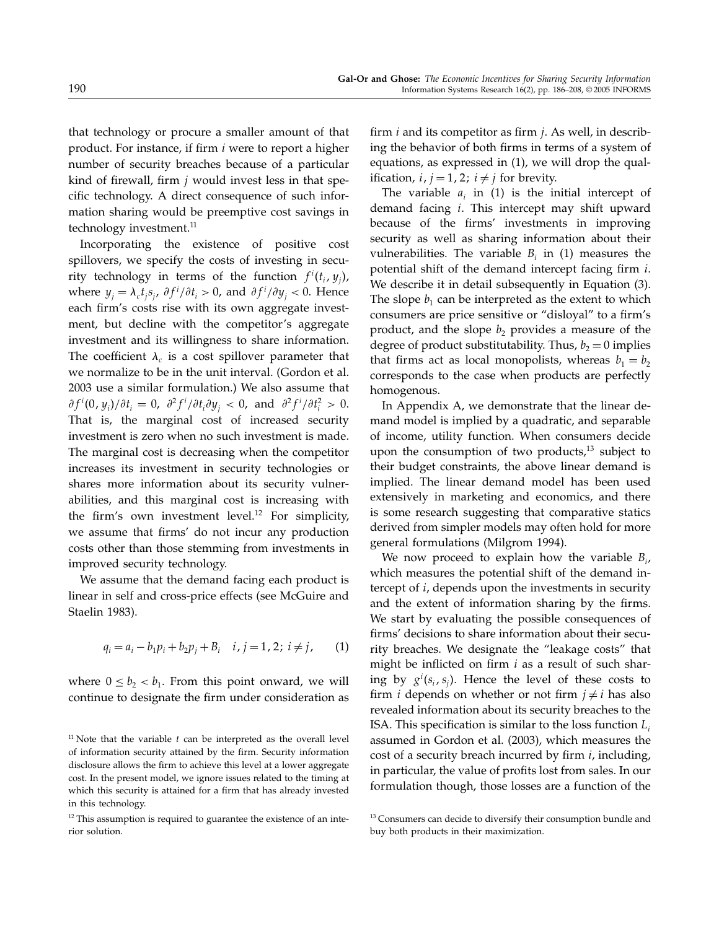that technology or procure a smaller amount of that product. For instance, if firm i were to report a higher number of security breaches because of a particular kind of firewall, firm  $j$  would invest less in that specific technology. A direct consequence of such information sharing would be preemptive cost savings in technology investment.<sup>11</sup>

Incorporating the existence of positive cost spillovers, we specify the costs of investing in security technology in terms of the function  $f^{i}(t_{i}, y_{j})$ , where  $y_j = \lambda_c t_j s_j$ ,  $\partial f^i / \partial t_i > 0$ , and  $\partial f^i / \partial y_j < 0$ . Hence each firm's costs rise with its own aggregate investment, but decline with the competitor's aggregate investment and its willingness to share information. The coefficient  $\lambda_c$  is a cost spillover parameter that we normalize to be in the unit interval. (Gordon et al. 2003 use a similar formulation.) We also assume that  $\partial f^i(0, y_i)/\partial t_i = 0$ ,  $\partial^2 f^i/\partial t_i \partial y_j < 0$ , and  $\partial^2 f^i/\partial t_i^2 > 0$ . That is, the marginal cost of increased security investment is zero when no such investment is made. The marginal cost is decreasing when the competitor increases its investment in security technologies or shares more information about its security vulnerabilities, and this marginal cost is increasing with the firm's own investment level.<sup>12</sup> For simplicity, we assume that firms' do not incur any production costs other than those stemming from investments in improved security technology.

We assume that the demand facing each product is linear in self and cross-price effects (see McGuire and Staelin 1983).

$$
q_i = a_i - b_1 p_i + b_2 p_j + B_i \quad i, j = 1, 2; i \neq j,
$$
 (1)

where  $0 \leq b_2 < b_1$ . From this point onward, we will continue to designate the firm under consideration as

firm  $i$  and its competitor as firm  $j$ . As well, in describing the behavior of both firms in terms of a system of equations, as expressed in (1), we will drop the qualification,  $i$ ,  $j = 1, 2$ ;  $i \neq j$  for brevity.

The variable  $a_i$  in (1) is the initial intercept of demand facing i. This intercept may shift upward because of the firms' investments in improving security as well as sharing information about their vulnerabilities. The variable  $B_i$  in (1) measures the potential shift of the demand intercept facing firm i. We describe it in detail subsequently in Equation (3). The slope  $b_1$  can be interpreted as the extent to which consumers are price sensitive or "disloyal" to a firm's product, and the slope  $b_2$  provides a measure of the degree of product substitutability. Thus,  $b_2 = 0$  implies that firms act as local monopolists, whereas  $b_1 = b_2$ corresponds to the case when products are perfectly homogenous.

In Appendix A, we demonstrate that the linear demand model is implied by a quadratic, and separable of income, utility function. When consumers decide upon the consumption of two products,<sup>13</sup> subject to their budget constraints, the above linear demand is implied. The linear demand model has been used extensively in marketing and economics, and there is some research suggesting that comparative statics derived from simpler models may often hold for more general formulations (Milgrom 1994).

We now proceed to explain how the variable  $B_i$ , which measures the potential shift of the demand intercept of i, depends upon the investments in security and the extent of information sharing by the firms. We start by evaluating the possible consequences of firms' decisions to share information about their security breaches. We designate the "leakage costs" that might be inflicted on firm  $i$  as a result of such sharing by  $g^i(s_i, s_j)$ . Hence the level of these costs to firm *i* depends on whether or not firm  $j \neq i$  has also revealed information about its security breaches to the ISA. This specification is similar to the loss function  $L_i$ assumed in Gordon et al. (2003), which measures the cost of a security breach incurred by firm  $i$ , including, in particular, the value of profits lost from sales. In our formulation though, those losses are a function of the

 $11$  Note that the variable  $t$  can be interpreted as the overall level of information security attained by the firm. Security information disclosure allows the firm to achieve this level at a lower aggregate cost. In the present model, we ignore issues related to the timing at which this security is attained for a firm that has already invested in this technology.

<sup>&</sup>lt;sup>12</sup> This assumption is required to guarantee the existence of an interior solution.

<sup>&</sup>lt;sup>13</sup> Consumers can decide to diversify their consumption bundle and buy both products in their maximization.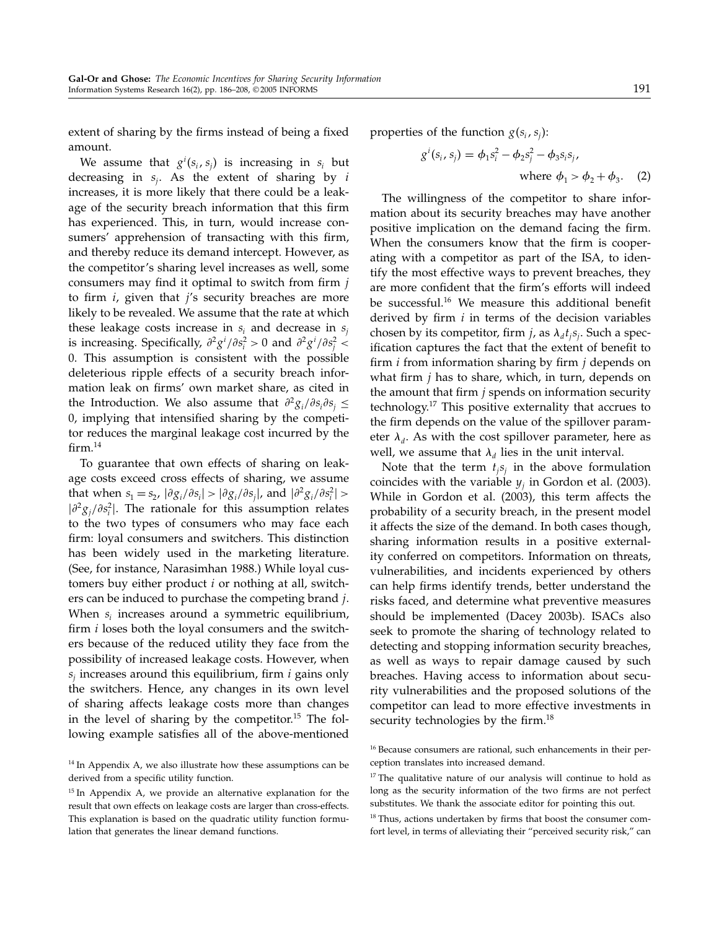extent of sharing by the firms instead of being a fixed amount.

We assume that  $g^i(s_i, s_j)$  is increasing in  $s_i$  but decreasing in  $s_i$ . As the extent of sharing by i increases, it is more likely that there could be a leakage of the security breach information that this firm has experienced. This, in turn, would increase consumers' apprehension of transacting with this firm, and thereby reduce its demand intercept. However, as the competitor's sharing level increases as well, some consumers may find it optimal to switch from firm  $j$ to firm  $i$ , given that  $j$ 's security breaches are more likely to be revealed. We assume that the rate at which these leakage costs increase in  $s_i$  and decrease in  $s_i$ is increasing. Specifically,  $\partial^2 g^i / \partial s_i^2 > 0$  and  $\partial^2 g^i / \partial s_j^2 <$ 0. This assumption is consistent with the possible deleterious ripple effects of a security breach information leak on firms' own market share, as cited in the Introduction. We also assume that  $\partial^2 g_i/\partial s_i \partial s_j \leq$ 0, implying that intensified sharing by the competitor reduces the marginal leakage cost incurred by the  $firm.<sup>14</sup>$ 

To guarantee that own effects of sharing on leakage costs exceed cross effects of sharing, we assume that when  $s_1 = s_2$ ,  $|\partial g_i/\partial s_i| > |\partial g_i/\partial s_j|$ , and  $|\partial^2 g_i/\partial s_i^2| >$  $|\partial^2 g_j/\partial s_i^2|$ . The rationale for this assumption relates to the two types of consumers who may face each firm: loyal consumers and switchers. This distinction has been widely used in the marketing literature. (See, for instance, Narasimhan 1988.) While loyal customers buy either product i or nothing at all, switchers can be induced to purchase the competing brand j. When  $s_i$  increases around a symmetric equilibrium, firm  $i$  loses both the loyal consumers and the switchers because of the reduced utility they face from the possibility of increased leakage costs. However, when  $s_i$  increases around this equilibrium, firm *i* gains only the switchers. Hence, any changes in its own level of sharing affects leakage costs more than changes in the level of sharing by the competitor.<sup>15</sup> The following example satisfies all of the above-mentioned

properties of the function  $g(s_i, s_j)$ :

$$
g^{i}(s_{i}, s_{j}) = \phi_{1} s_{i}^{2} - \phi_{2} s_{j}^{2} - \phi_{3} s_{i} s_{j},
$$
  
where  $\phi_{1} > \phi_{2} + \phi_{3}$ . (2)

The willingness of the competitor to share information about its security breaches may have another positive implication on the demand facing the firm. When the consumers know that the firm is cooperating with a competitor as part of the ISA, to identify the most effective ways to prevent breaches, they are more confident that the firm's efforts will indeed be successful.<sup>16</sup> We measure this additional benefit derived by firm  $i$  in terms of the decision variables chosen by its competitor, firm *j*, as  $\lambda_d t_i s_i$ . Such a specification captures the fact that the extent of benefit to firm  $i$  from information sharing by firm  $j$  depends on what firm  $j$  has to share, which, in turn, depends on the amount that firm  $j$  spends on information security technology.17 This positive externality that accrues to the firm depends on the value of the spillover parameter  $\lambda_d$ . As with the cost spillover parameter, here as well, we assume that  $\lambda_d$  lies in the unit interval.

Note that the term  $t_i s_i$  in the above formulation coincides with the variable  $y_i$  in Gordon et al. (2003). While in Gordon et al. (2003), this term affects the probability of a security breach, in the present model it affects the size of the demand. In both cases though, sharing information results in a positive externality conferred on competitors. Information on threats, vulnerabilities, and incidents experienced by others can help firms identify trends, better understand the risks faced, and determine what preventive measures should be implemented (Dacey 2003b). ISACs also seek to promote the sharing of technology related to detecting and stopping information security breaches, as well as ways to repair damage caused by such breaches. Having access to information about security vulnerabilities and the proposed solutions of the competitor can lead to more effective investments in security technologies by the firm.<sup>18</sup>

 $14$  In Appendix A, we also illustrate how these assumptions can be derived from a specific utility function.

<sup>&</sup>lt;sup>15</sup> In Appendix A, we provide an alternative explanation for the result that own effects on leakage costs are larger than cross-effects. This explanation is based on the quadratic utility function formulation that generates the linear demand functions.

<sup>&</sup>lt;sup>16</sup> Because consumers are rational, such enhancements in their perception translates into increased demand.

<sup>&</sup>lt;sup>17</sup> The qualitative nature of our analysis will continue to hold as long as the security information of the two firms are not perfect substitutes. We thank the associate editor for pointing this out.

<sup>&</sup>lt;sup>18</sup> Thus, actions undertaken by firms that boost the consumer comfort level, in terms of alleviating their "perceived security risk," can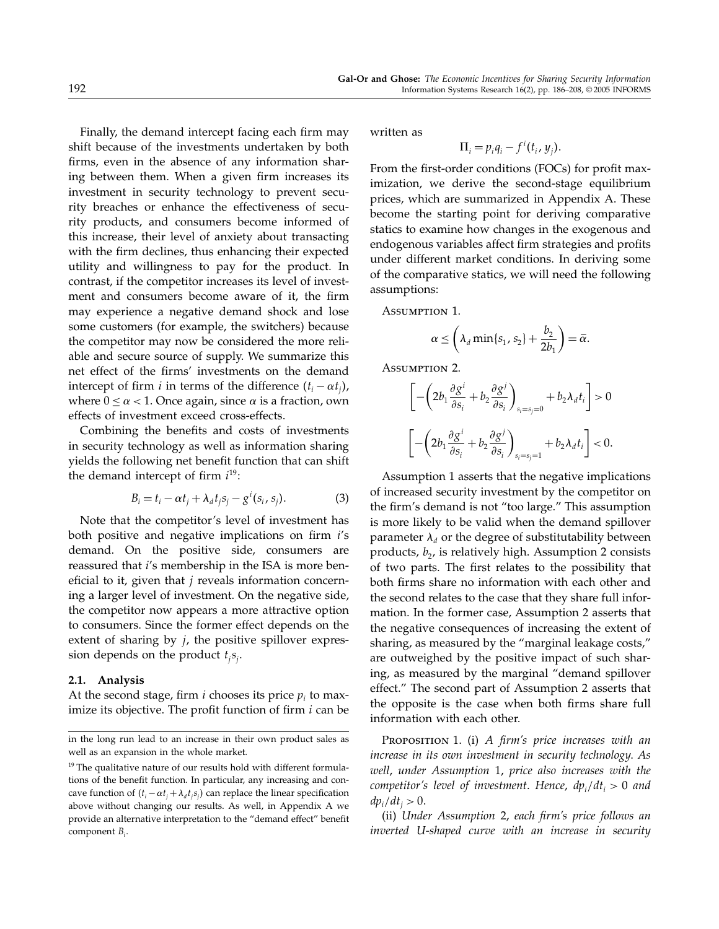Finally, the demand intercept facing each firm may shift because of the investments undertaken by both firms, even in the absence of any information sharing between them. When a given firm increases its investment in security technology to prevent security breaches or enhance the effectiveness of security products, and consumers become informed of this increase, their level of anxiety about transacting with the firm declines, thus enhancing their expected utility and willingness to pay for the product. In contrast, if the competitor increases its level of investment and consumers become aware of it, the firm may experience a negative demand shock and lose some customers (for example, the switchers) because the competitor may now be considered the more reliable and secure source of supply. We summarize this net effect of the firms' investments on the demand intercept of firm *i* in terms of the difference  $(t_i - \alpha t_i)$ , where  $0 \le \alpha < 1$ . Once again, since  $\alpha$  is a fraction, own effects of investment exceed cross-effects.

Combining the benefits and costs of investments in security technology as well as information sharing yields the following net benefit function that can shift the demand intercept of firm  $i^{19}$ :

$$
B_i = t_i - \alpha t_j + \lambda_d t_j s_j - g^i(s_i, s_j). \tag{3}
$$

Note that the competitor's level of investment has both positive and negative implications on firm i's demand. On the positive side, consumers are reassured that i's membership in the ISA is more beneficial to it, given that  $j$  reveals information concerning a larger level of investment. On the negative side, the competitor now appears a more attractive option to consumers. Since the former effect depends on the extent of sharing by *j*, the positive spillover expression depends on the product  $t_i s_i$ .

### 2.1. Analysis

At the second stage, firm *i* chooses its price  $p_i$  to maximize its objective. The profit function of firm  $i$  can be written as

$$
\Pi_i = p_i q_i - f^i(t_i, y_j).
$$

From the first-order conditions (FOCs) for profit maximization, we derive the second-stage equilibrium prices, which are summarized in Appendix A. These become the starting point for deriving comparative statics to examine how changes in the exogenous and endogenous variables affect firm strategies and profits under different market conditions. In deriving some of the comparative statics, we will need the following assumptions:

Assumption 1.

$$
\alpha \leq \left(\lambda_d \min\{s_1, s_2\} + \frac{b_2}{2b_1}\right) = \overline{\alpha}.
$$

Assumption 2.

$$
\left[-\left(2b_1\frac{\partial g^i}{\partial s_i} + b_2\frac{\partial g^j}{\partial s_i}\right)_{s_i=s_j=0} + b_2\lambda_d t_i\right] > 0
$$
  

$$
\left[-\left(2b_1\frac{\partial g^i}{\partial s_i} + b_2\frac{\partial g^j}{\partial s_i}\right)_{s_i=s_j=1} + b_2\lambda_d t_i\right] < 0.
$$

Assumption 1 asserts that the negative implications of increased security investment by the competitor on the firm's demand is not "too large." This assumption is more likely to be valid when the demand spillover parameter  $\lambda_d$  or the degree of substitutability between products,  $b_2$ , is relatively high. Assumption 2 consists of two parts. The first relates to the possibility that both firms share no information with each other and the second relates to the case that they share full information. In the former case, Assumption 2 asserts that the negative consequences of increasing the extent of sharing, as measured by the "marginal leakage costs," are outweighed by the positive impact of such sharing, as measured by the marginal "demand spillover effect." The second part of Assumption 2 asserts that the opposite is the case when both firms share full information with each other.

PROPOSITION 1. (i) A firm's price increases with an increase in its own investment in security technology. As well, under Assumption 1, price also increases with the competitor's level of investment. Hence,  $dp_i/dt_i > 0$  and  $dp_i/dt_i > 0.$ 

(ii) Under Assumption 2, each firm's price follows an inverted U-shaped curve with an increase in security

in the long run lead to an increase in their own product sales as well as an expansion in the whole market.

<sup>&</sup>lt;sup>19</sup> The qualitative nature of our results hold with different formulations of the benefit function. In particular, any increasing and concave function of  $(t_i - \alpha t_j + \lambda_d t_j s_j)$  can replace the linear specification above without changing our results. As well, in Appendix A we provide an alternative interpretation to the "demand effect" benefit component  $B_i$ .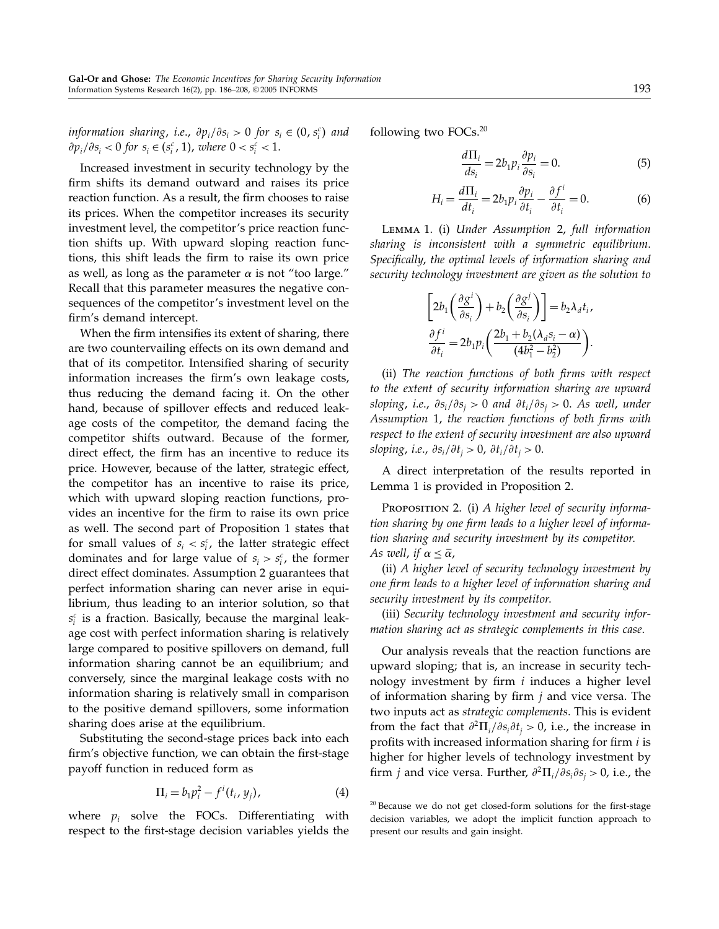information sharing, i.e.,  $\partial p_i / \partial s_i > 0$  for  $s_i \in (0, s_i^c)$  and  $\partial p_i/\partial s_i < 0$  for  $s_i \in (s_i^c, 1)$ , where  $0 < s_i^c < 1$ .

Increased investment in security technology by the firm shifts its demand outward and raises its price reaction function. As a result, the firm chooses to raise its prices. When the competitor increases its security investment level, the competitor's price reaction function shifts up. With upward sloping reaction functions, this shift leads the firm to raise its own price as well, as long as the parameter  $\alpha$  is not "too large." Recall that this parameter measures the negative consequences of the competitor's investment level on the firm's demand intercept.

When the firm intensifies its extent of sharing, there are two countervailing effects on its own demand and that of its competitor. Intensified sharing of security information increases the firm's own leakage costs, thus reducing the demand facing it. On the other hand, because of spillover effects and reduced leakage costs of the competitor, the demand facing the competitor shifts outward. Because of the former, direct effect, the firm has an incentive to reduce its price. However, because of the latter, strategic effect, the competitor has an incentive to raise its price, which with upward sloping reaction functions, provides an incentive for the firm to raise its own price as well. The second part of Proposition 1 states that for small values of  $s_i < s_i^c$ , the latter strategic effect dominates and for large value of  $s_i > s_i^c$ , the former direct effect dominates. Assumption 2 guarantees that perfect information sharing can never arise in equilibrium, thus leading to an interior solution, so that  $s_i^c$  is a fraction. Basically, because the marginal leakage cost with perfect information sharing is relatively large compared to positive spillovers on demand, full information sharing cannot be an equilibrium; and conversely, since the marginal leakage costs with no information sharing is relatively small in comparison to the positive demand spillovers, some information sharing does arise at the equilibrium.

Substituting the second-stage prices back into each firm's objective function, we can obtain the first-stage payoff function in reduced form as

$$
\Pi_i = b_1 p_i^2 - f^i(t_i, y_j),
$$
\n(4)

where  $p_i$  solve the FOCs. Differentiating with respect to the first-stage decision variables yields the

following two FOCs.<sup>20</sup>

$$
\frac{d\Pi_i}{ds_i} = 2b_1 p_i \frac{\partial p_i}{\partial s_i} = 0.
$$
\n(5)

$$
H_i = \frac{d\Pi_i}{dt_i} = 2b_1 p_i \frac{\partial p_i}{\partial t_i} - \frac{\partial f^i}{\partial t_i} = 0.
$$
 (6)

Lemma 1. (i) Under Assumption 2, full information sharing is inconsistent with a symmetric equilibrium. Specifically, the optimal levels of information sharing and security technology investment are given as the solution to

$$
\left[2b_1\left(\frac{\partial g^i}{\partial s_i}\right)+b_2\left(\frac{\partial g^j}{\partial s_i}\right)\right]=b_2\lambda_d t_i,
$$
  

$$
\frac{\partial f^i}{\partial t_i}=2b_1p_i\left(\frac{2b_1+b_2(\lambda_d s_i-\alpha)}{(4b_1^2-b_2^2)}\right).
$$

(ii) The reaction functions of both firms with respect to the extent of security information sharing are upward sloping, i.e.,  $\partial s_i/\partial s_i > 0$  and  $\partial t_i/\partial s_i > 0$ . As well, under Assumption 1, the reaction functions of both firms with respect to the extent of security investment are also upward sloping, i.e.,  $\partial s_i/\partial t_j > 0$ ,  $\partial t_i/\partial t_j > 0$ .

A direct interpretation of the results reported in Lemma 1 is provided in Proposition 2.

PROPOSITION 2. (i) A higher level of security information sharing by one firm leads to a higher level of information sharing and security investment by its competitor. As well, if  $\alpha \leq \overline{\alpha}$ ,

(ii) A higher level of security technology investment by one firm leads to a higher level of information sharing and security investment by its competitor.

(iii) Security technology investment and security information sharing act as strategic complements in this case.

Our analysis reveals that the reaction functions are upward sloping; that is, an increase in security technology investment by firm  $i$  induces a higher level of information sharing by firm  $j$  and vice versa. The two inputs act as strategic complements. This is evident from the fact that  $\partial^2 \Pi_i/\partial s_i \partial t_i > 0$ , i.e., the increase in profits with increased information sharing for firm i is higher for higher levels of technology investment by firm *j* and vice versa. Further,  $\partial^2 \Pi_i/\partial s_i \partial s_j > 0$ , i.e., the

<sup>&</sup>lt;sup>20</sup> Because we do not get closed-form solutions for the first-stage decision variables, we adopt the implicit function approach to present our results and gain insight.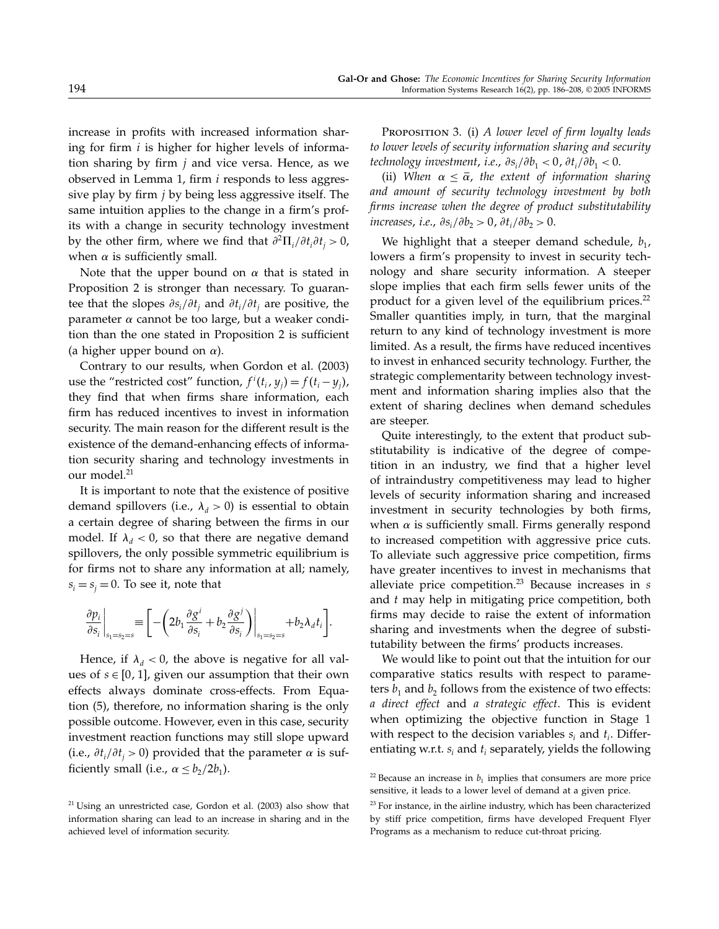increase in profits with increased information sharing for firm  $i$  is higher for higher levels of information sharing by firm  $j$  and vice versa. Hence, as we observed in Lemma 1, firm  $i$  responds to less aggressive play by firm j by being less aggressive itself. The same intuition applies to the change in a firm's profits with a change in security technology investment by the other firm, where we find that  $\frac{\partial^2 \Pi_i}{\partial t_i \partial t_j} > 0$ , when  $\alpha$  is sufficiently small.

Note that the upper bound on  $\alpha$  that is stated in Proposition 2 is stronger than necessary. To guarantee that the slopes  $\partial s_i/\partial t_i$  and  $\partial t_i/\partial t_i$  are positive, the parameter  $\alpha$  cannot be too large, but a weaker condition than the one stated in Proposition 2 is sufficient (a higher upper bound on  $\alpha$ ).

Contrary to our results, when Gordon et al. (2003) use the "restricted cost" function,  $f^{i}(t_i, y_j) = f(t_i - y_j)$ , they find that when firms share information, each firm has reduced incentives to invest in information security. The main reason for the different result is the existence of the demand-enhancing effects of information security sharing and technology investments in our model.<sup>21</sup>

It is important to note that the existence of positive demand spillovers (i.e.,  $\lambda_d > 0$ ) is essential to obtain a certain degree of sharing between the firms in our model. If  $\lambda_d < 0$ , so that there are negative demand spillovers, the only possible symmetric equilibrium is for firms not to share any information at all; namely,  $s_i = s_j = 0$ . To see it, note that

$$
\frac{\partial p_i}{\partial s_i}\bigg|_{s_1=s_2=s} \equiv \bigg[-\bigg(2b_1\frac{\partial g^i}{\partial s_i} + b_2\frac{\partial g^j}{\partial s_i}\bigg)\bigg|_{s_1=s_2=s} + b_2\lambda_d t_i\bigg].
$$

Hence, if  $\lambda_d < 0$ , the above is negative for all values of  $s \in [0, 1]$ , given our assumption that their own effects always dominate cross-effects. From Equation (5), therefore, no information sharing is the only possible outcome. However, even in this case, security investment reaction functions may still slope upward (i.e.,  $\partial t_i/\partial t_j > 0$ ) provided that the parameter  $\alpha$  is sufficiently small (i.e.,  $\alpha \leq b_2/2b_1$ ).

PROPOSITION 3. (i) A lower level of firm loyalty leads to lower levels of security information sharing and security technology investment, i.e.,  $\partial s_i/\partial b_1 < 0$ ,  $\partial t_i/\partial b_1 < 0$ .

(ii) When  $\alpha \leq \overline{\alpha}$ , the extent of information sharing and amount of security technology investment by both firms increase when the degree of product substitutability increases, i.e.,  $\partial s_i/\partial b_2 > 0$ ,  $\partial t_i/\partial b_2 > 0$ .

We highlight that a steeper demand schedule,  $b_1$ , lowers a firm's propensity to invest in security technology and share security information. A steeper slope implies that each firm sells fewer units of the product for a given level of the equilibrium prices.<sup>22</sup> Smaller quantities imply, in turn, that the marginal return to any kind of technology investment is more limited. As a result, the firms have reduced incentives to invest in enhanced security technology. Further, the strategic complementarity between technology investment and information sharing implies also that the extent of sharing declines when demand schedules are steeper.

Quite interestingly, to the extent that product substitutability is indicative of the degree of competition in an industry, we find that a higher level of intraindustry competitiveness may lead to higher levels of security information sharing and increased investment in security technologies by both firms, when  $\alpha$  is sufficiently small. Firms generally respond to increased competition with aggressive price cuts. To alleviate such aggressive price competition, firms have greater incentives to invest in mechanisms that alleviate price competition.<sup>23</sup> Because increases in  $s$ and  $t$  may help in mitigating price competition, both firms may decide to raise the extent of information sharing and investments when the degree of substitutability between the firms' products increases.

We would like to point out that the intuition for our comparative statics results with respect to parameters  $b_1$  and  $b_2$  follows from the existence of two effects: a direct effect and a strategic effect. This is evident when optimizing the objective function in Stage 1 with respect to the decision variables  $s_i$  and  $t_i$ . Differentiating w.r.t.  $s_i$  and  $t_i$  separately, yields the following

<sup>21</sup> Using an unrestricted case, Gordon et al. (2003) also show that information sharing can lead to an increase in sharing and in the achieved level of information security.

<sup>&</sup>lt;sup>22</sup> Because an increase in  $b_1$  implies that consumers are more price sensitive, it leads to a lower level of demand at a given price.

 $^{23}$  For instance, in the airline industry, which has been characterized by stiff price competition, firms have developed Frequent Flyer Programs as a mechanism to reduce cut-throat pricing.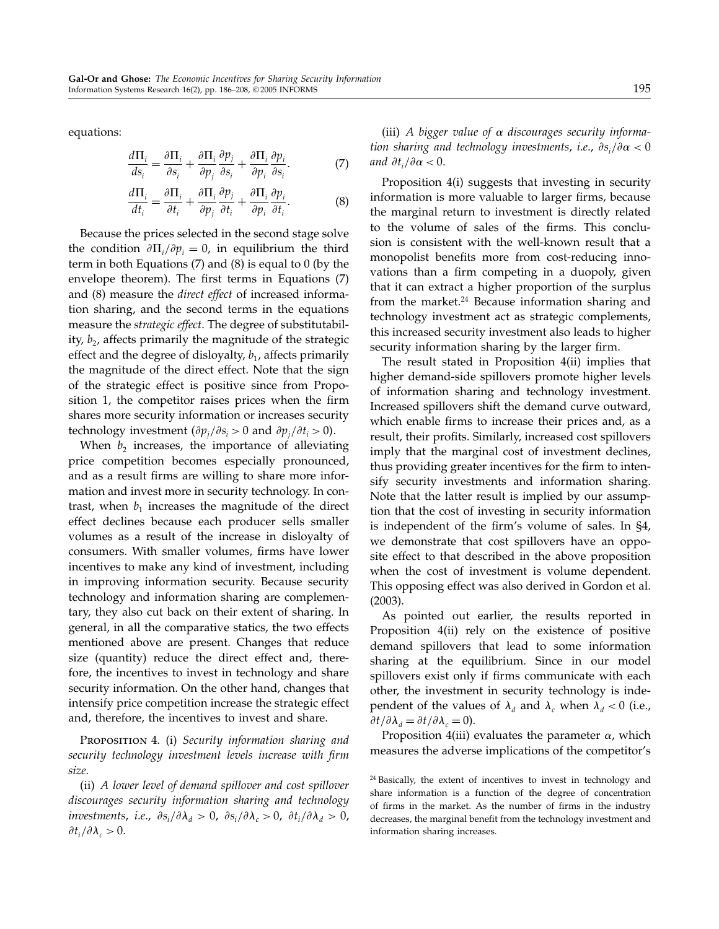equations:

$$
\frac{d\Pi_i}{ds_i} = \frac{\partial \Pi_i}{\partial s_i} + \frac{\partial \Pi_i}{\partial p_j} \frac{\partial p_j}{\partial s_i} + \frac{\partial \Pi_i}{\partial p_i} \frac{\partial p_i}{\partial s_i}.
$$
 (7)

$$
\frac{d\Pi_i}{dt_i} = \frac{\partial \Pi_i}{\partial t_i} + \frac{\partial \Pi_i}{\partial p_j} \frac{\partial p_j}{\partial t_i} + \frac{\partial \Pi_i}{\partial p_i} \frac{\partial p_i}{\partial t_i}.
$$
 (8)

Because the prices selected in the second stage solve the condition  $\partial \Pi_i/\partial p_i = 0$ , in equilibrium the third term in both Equations (7) and (8) is equal to 0 (by the envelope theorem). The first terms in Equations (7) and (8) measure the direct effect of increased information sharing, and the second terms in the equations measure the strategic effect. The degree of substitutability,  $b_2$ , affects primarily the magnitude of the strategic effect and the degree of disloyalty,  $b_1$ , affects primarily the magnitude of the direct effect. Note that the sign of the strategic effect is positive since from Proposition 1, the competitor raises prices when the firm shares more security information or increases security technology investment  $(\partial p_i/\partial s_i > 0$  and  $\partial p_i/\partial t_i > 0$ ).

When  $b_2$  increases, the importance of alleviating price competition becomes especially pronounced, and as a result firms are willing to share more information and invest more in security technology. In contrast, when  $b_1$  increases the magnitude of the direct effect declines because each producer sells smaller volumes as a result of the increase in disloyalty of consumers. With smaller volumes, firms have lower incentives to make any kind of investment, including in improving information security. Because security technology and information sharing are complementary, they also cut back on their extent of sharing. In general, in all the comparative statics, the two effects mentioned above are present. Changes that reduce size (quantity) reduce the direct effect and, therefore, the incentives to invest in technology and share security information. On the other hand, changes that intensify price competition increase the strategic effect and, therefore, the incentives to invest and share.

PROPOSITION 4. (i) Security information sharing and security technology investment levels increase with firm size.

(ii) A lower level of demand spillover and cost spillover discourages security information sharing and technology investments, i.e.,  $\partial s_i/\partial \lambda_d > 0$ ,  $\partial s_i/\partial \lambda_c > 0$ ,  $\partial t_i/\partial \lambda_d > 0$ ,  $\partial t_i/\partial \lambda_c > 0.$ 

(iii) A bigger value of  $\alpha$  discourages security information sharing and technology investments, i.e.,  $\partial s_i/\partial \alpha < 0$ and  $\partial t_i/\partial \alpha < 0$ .

Proposition 4(i) suggests that investing in security information is more valuable to larger firms, because the marginal return to investment is directly related to the volume of sales of the firms. This conclusion is consistent with the well-known result that a monopolist benefits more from cost-reducing innovations than a firm competing in a duopoly, given that it can extract a higher proportion of the surplus from the market.<sup>24</sup> Because information sharing and technology investment act as strategic complements, this increased security investment also leads to higher security information sharing by the larger firm.

The result stated in Proposition 4(ii) implies that higher demand-side spillovers promote higher levels of information sharing and technology investment. Increased spillovers shift the demand curve outward, which enable firms to increase their prices and, as a result, their profits. Similarly, increased cost spillovers imply that the marginal cost of investment declines, thus providing greater incentives for the firm to intensify security investments and information sharing. Note that the latter result is implied by our assumption that the cost of investing in security information is independent of the firm's volume of sales. In §4, we demonstrate that cost spillovers have an opposite effect to that described in the above proposition when the cost of investment is volume dependent. This opposing effect was also derived in Gordon et al. (2003).

As pointed out earlier, the results reported in Proposition 4(ii) rely on the existence of positive demand spillovers that lead to some information sharing at the equilibrium. Since in our model spillovers exist only if firms communicate with each other, the investment in security technology is independent of the values of  $\lambda_d$  and  $\lambda_c$  when  $\lambda_d < 0$  (i.e.,  $\partial t/\partial \lambda_d = \partial t/\partial \lambda_c = 0$ .

Proposition 4(iii) evaluates the parameter  $\alpha$ , which measures the adverse implications of the competitor's

 $24$  Basically, the extent of incentives to invest in technology and share information is a function of the degree of concentration of firms in the market. As the number of firms in the industry decreases, the marginal benefit from the technology investment and information sharing increases.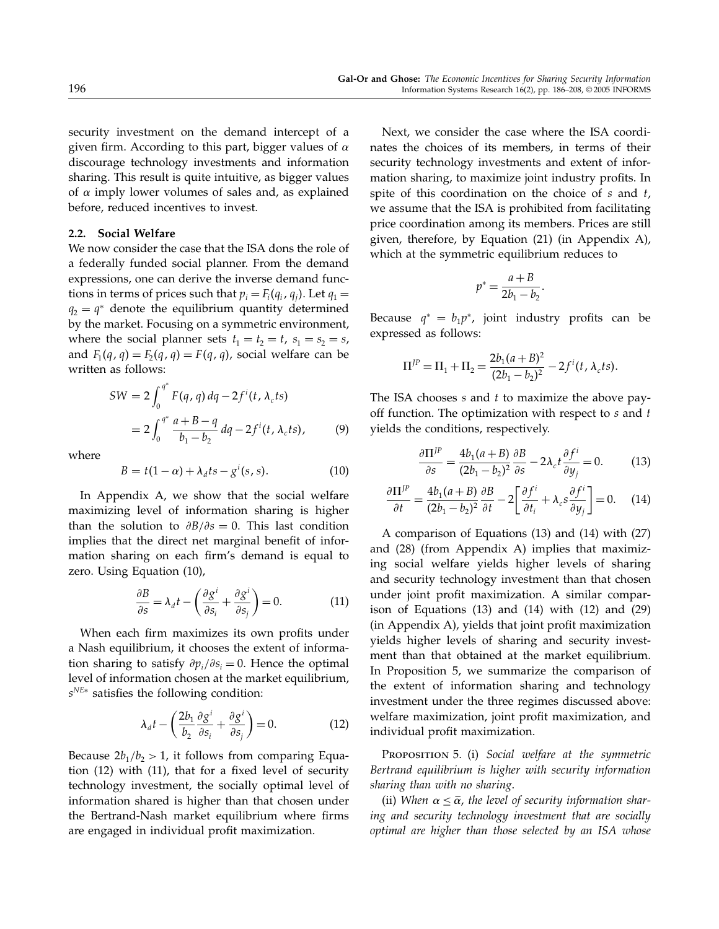security investment on the demand intercept of a given firm. According to this part, bigger values of  $\alpha$ discourage technology investments and information sharing. This result is quite intuitive, as bigger values of  $\alpha$  imply lower volumes of sales and, as explained before, reduced incentives to invest.

# 2.2. Social Welfare

We now consider the case that the ISA dons the role of a federally funded social planner. From the demand expressions, one can derive the inverse demand functions in terms of prices such that  $p_i = F_i(q_i, q_i)$ . Let  $q_1 =$  $q_2 = q^*$  denote the equilibrium quantity determined by the market. Focusing on a symmetric environment, where the social planner sets  $t_1 = t_2 = t$ ,  $s_1 = s_2 = s$ , and  $F_1(q, q) = F_2(q, q) = F(q, q)$ , social welfare can be written as follows:

$$
SW = 2 \int_0^{q^*} F(q, q) dq - 2f^i(t, \lambda_c ts)
$$
  
= 
$$
2 \int_0^{q^*} \frac{a + B - q}{b_1 - b_2} dq - 2f^i(t, \lambda_c ts),
$$
 (9)

where

$$
B = t(1 - \alpha) + \lambda_d ts - g^i(s, s). \tag{10}
$$

In Appendix A, we show that the social welfare maximizing level of information sharing is higher than the solution to  $\partial B/\partial s = 0$ . This last condition implies that the direct net marginal benefit of information sharing on each firm's demand is equal to zero. Using Equation (10),

$$
\frac{\partial B}{\partial s} = \lambda_d t - \left(\frac{\partial g^i}{\partial s_i} + \frac{\partial g^i}{\partial s_j}\right) = 0.
$$
 (11)

When each firm maximizes its own profits under a Nash equilibrium, it chooses the extent of information sharing to satisfy  $\partial p_i/\partial s_i = 0$ . Hence the optimal level of information chosen at the market equilibrium, s<sup>NE∗</sup> satisfies the following condition:

$$
\lambda_d t - \left(\frac{2b_1}{b_2} \frac{\partial g^i}{\partial s_i} + \frac{\partial g^i}{\partial s_j}\right) = 0.
$$
 (12)

Because  $2b_1/b_2 > 1$ , it follows from comparing Equation (12) with (11), that for a fixed level of security technology investment, the socially optimal level of information shared is higher than that chosen under the Bertrand-Nash market equilibrium where firms are engaged in individual profit maximization.

Next, we consider the case where the ISA coordinates the choices of its members, in terms of their security technology investments and extent of information sharing, to maximize joint industry profits. In spite of this coordination on the choice of  $s$  and  $t$ , we assume that the ISA is prohibited from facilitating price coordination among its members. Prices are still given, therefore, by Equation (21) (in Appendix A), which at the symmetric equilibrium reduces to

$$
p^* = \frac{a+B}{2b_1 - b_2}.
$$

Because  $q^* = b_1 p^*$ , joint industry profits can be expressed as follows:

$$
\Pi^{IP} = \Pi_1 + \Pi_2 = \frac{2b_1(a+B)^2}{(2b_1-b_2)^2} - 2f^i(t, \lambda_c ts).
$$

The ISA chooses  $s$  and  $t$  to maximize the above payoff function. The optimization with respect to  $s$  and  $t$ yields the conditions, respectively.

$$
\frac{\partial \Pi^{IP}}{\partial s} = \frac{4b_1(a+B)}{(2b_1-b_2)^2} \frac{\partial B}{\partial s} - 2\lambda_c t \frac{\partial f^i}{\partial y_j} = 0.
$$
 (13)

$$
\frac{\partial \Pi^{JP}}{\partial t} = \frac{4b_1(a+B)}{(2b_1 - b_2)^2} \frac{\partial B}{\partial t} - 2 \left[ \frac{\partial f^i}{\partial t_i} + \lambda_c s \frac{\partial f^i}{\partial y_j} \right] = 0. \quad (14)
$$

A comparison of Equations (13) and (14) with (27) and (28) (from Appendix A) implies that maximizing social welfare yields higher levels of sharing and security technology investment than that chosen under joint profit maximization. A similar comparison of Equations  $(13)$  and  $(14)$  with  $(12)$  and  $(29)$ (in Appendix A), yields that joint profit maximization yields higher levels of sharing and security investment than that obtained at the market equilibrium. In Proposition 5, we summarize the comparison of the extent of information sharing and technology investment under the three regimes discussed above: welfare maximization, joint profit maximization, and individual profit maximization.

PROPOSITION 5. (i) Social welfare at the symmetric Bertrand equilibrium is higher with security information sharing than with no sharing.

(ii) When  $\alpha \leq \overline{\alpha}$ , the level of security information sharing and security technology investment that are socially optimal are higher than those selected by an ISA whose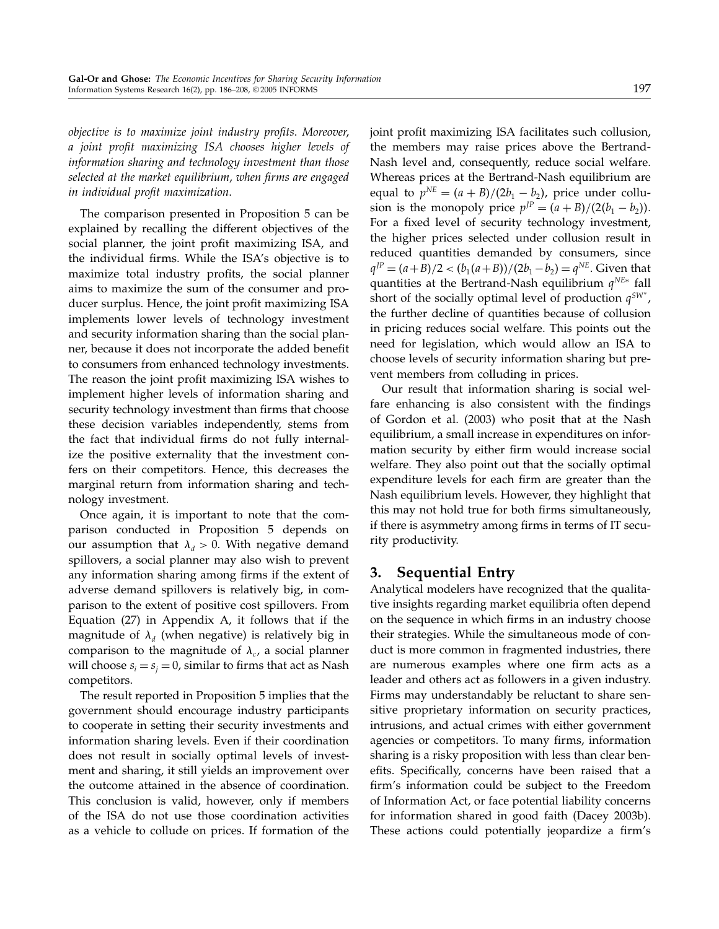objective is to maximize joint industry profits. Moreover, a joint profit maximizing ISA chooses higher levels of information sharing and technology investment than those selected at the market equilibrium, when firms are engaged in individual profit maximization.

The comparison presented in Proposition 5 can be explained by recalling the different objectives of the social planner, the joint profit maximizing ISA, and the individual firms. While the ISA's objective is to maximize total industry profits, the social planner aims to maximize the sum of the consumer and producer surplus. Hence, the joint profit maximizing ISA implements lower levels of technology investment and security information sharing than the social planner, because it does not incorporate the added benefit to consumers from enhanced technology investments. The reason the joint profit maximizing ISA wishes to implement higher levels of information sharing and security technology investment than firms that choose these decision variables independently, stems from the fact that individual firms do not fully internalize the positive externality that the investment confers on their competitors. Hence, this decreases the marginal return from information sharing and technology investment.

Once again, it is important to note that the comparison conducted in Proposition 5 depends on our assumption that  $\lambda_d > 0$ . With negative demand spillovers, a social planner may also wish to prevent any information sharing among firms if the extent of adverse demand spillovers is relatively big, in comparison to the extent of positive cost spillovers. From Equation (27) in Appendix A, it follows that if the magnitude of  $\lambda_d$  (when negative) is relatively big in comparison to the magnitude of  $\lambda_c$ , a social planner will choose  $s_i = s_j = 0$ , similar to firms that act as Nash competitors.

The result reported in Proposition 5 implies that the government should encourage industry participants to cooperate in setting their security investments and information sharing levels. Even if their coordination does not result in socially optimal levels of investment and sharing, it still yields an improvement over the outcome attained in the absence of coordination. This conclusion is valid, however, only if members of the ISA do not use those coordination activities as a vehicle to collude on prices. If formation of the

joint profit maximizing ISA facilitates such collusion, the members may raise prices above the Bertrand-Nash level and, consequently, reduce social welfare. Whereas prices at the Bertrand-Nash equilibrium are equal to  $p^{NE} = (a + B)/(2b_1 - b_2)$ , price under collusion is the monopoly price  $p^{p} = (a + B)/(2(b_1 - b_2)).$ For a fixed level of security technology investment, the higher prices selected under collusion result in reduced quantities demanded by consumers, since  $q^{IP} = (a+B)/2 < (b_1(a+B))/(2b_1-b_2) = q^{NE}$ . Given that quantities at the Bertrand-Nash equilibrium  $q^{NE*}$  fall short of the socially optimal level of production  $q^{SW*}$ , the further decline of quantities because of collusion in pricing reduces social welfare. This points out the need for legislation, which would allow an ISA to choose levels of security information sharing but prevent members from colluding in prices.

Our result that information sharing is social welfare enhancing is also consistent with the findings of Gordon et al. (2003) who posit that at the Nash equilibrium, a small increase in expenditures on information security by either firm would increase social welfare. They also point out that the socially optimal expenditure levels for each firm are greater than the Nash equilibrium levels. However, they highlight that this may not hold true for both firms simultaneously, if there is asymmetry among firms in terms of IT security productivity.

# 3. Sequential Entry

Analytical modelers have recognized that the qualitative insights regarding market equilibria often depend on the sequence in which firms in an industry choose their strategies. While the simultaneous mode of conduct is more common in fragmented industries, there are numerous examples where one firm acts as a leader and others act as followers in a given industry. Firms may understandably be reluctant to share sensitive proprietary information on security practices, intrusions, and actual crimes with either government agencies or competitors. To many firms, information sharing is a risky proposition with less than clear benefits. Specifically, concerns have been raised that a firm's information could be subject to the Freedom of Information Act, or face potential liability concerns for information shared in good faith (Dacey 2003b). These actions could potentially jeopardize a firm's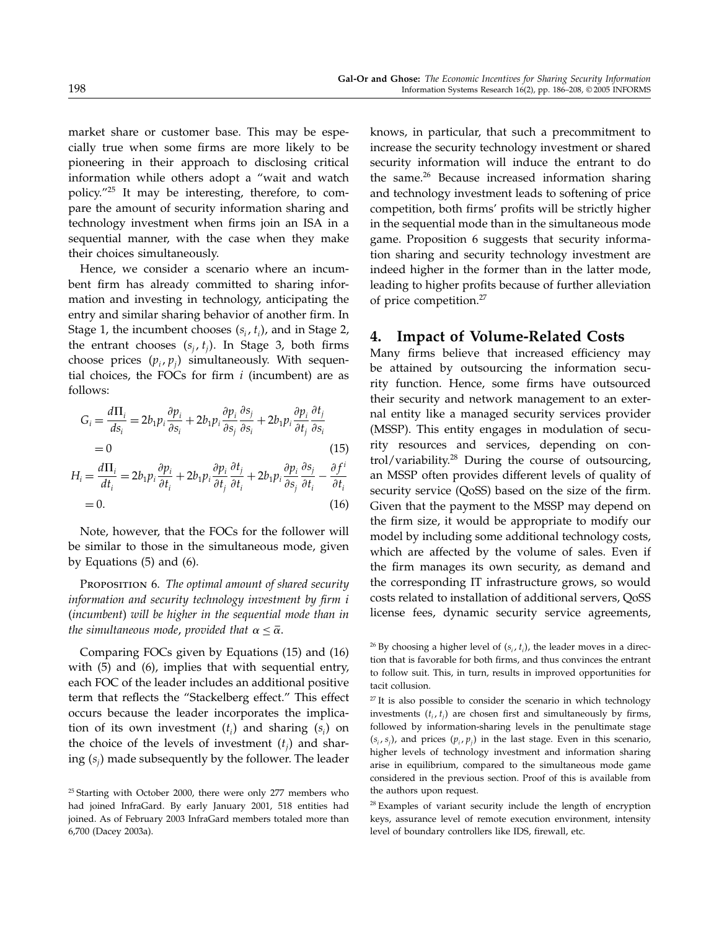market share or customer base. This may be especially true when some firms are more likely to be pioneering in their approach to disclosing critical information while others adopt a "wait and watch policy."<sup>25</sup> It may be interesting, therefore, to compare the amount of security information sharing and technology investment when firms join an ISA in a sequential manner, with the case when they make their choices simultaneously.

Hence, we consider a scenario where an incumbent firm has already committed to sharing information and investing in technology, anticipating the entry and similar sharing behavior of another firm. In Stage 1, the incumbent chooses  $(s_i, t_i)$ , and in Stage 2, the entrant chooses  $(s_i, t_i)$ . In Stage 3, both firms choose prices  $(p_i, p_j)$  simultaneously. With sequential choices, the FOCs for firm  $i$  (incumbent) are as follows:

$$
G_i = \frac{d\Pi_i}{ds_i} = 2b_1 p_i \frac{\partial p_i}{\partial s_i} + 2b_1 p_i \frac{\partial p_i}{\partial s_j} \frac{\partial s_j}{\partial s_i} + 2b_1 p_i \frac{\partial p_i}{\partial t_j} \frac{\partial t_j}{\partial s_i}
$$
  
= 0 (15)

$$
H_i = \frac{d\Pi_i}{dt_i} = 2b_1 p_i \frac{\partial p_i}{\partial t_i} + 2b_1 p_i \frac{\partial p_i}{\partial t_j} \frac{\partial t_j}{\partial t_i} + 2b_1 p_i \frac{\partial p_i}{\partial s_j} \frac{\partial s_j}{\partial t_i} - \frac{\partial f^i}{\partial t_i}
$$
  
= 0. (16)

Note, however, that the FOCs for the follower will be similar to those in the simultaneous mode, given by Equations (5) and (6).

PROPOSITION 6. The optimal amount of shared security information and security technology investment by firm i (incumbent) will be higher in the sequential mode than in the simultaneous mode, provided that  $\alpha \leq \overline{\alpha}$ .

Comparing FOCs given by Equations (15) and (16) with (5) and (6), implies that with sequential entry, each FOC of the leader includes an additional positive term that reflects the "Stackelberg effect." This effect occurs because the leader incorporates the implication of its own investment  $(t_i)$  and sharing  $(s_i)$  on the choice of the levels of investment  $(t_i)$  and sharing  $(s_i)$  made subsequently by the follower. The leader knows, in particular, that such a precommitment to increase the security technology investment or shared security information will induce the entrant to do the same.<sup>26</sup> Because increased information sharing and technology investment leads to softening of price competition, both firms' profits will be strictly higher in the sequential mode than in the simultaneous mode game. Proposition 6 suggests that security information sharing and security technology investment are indeed higher in the former than in the latter mode, leading to higher profits because of further alleviation of price competition.<sup>27</sup>

# 4. Impact of Volume-Related Costs

Many firms believe that increased efficiency may be attained by outsourcing the information security function. Hence, some firms have outsourced their security and network management to an external entity like a managed security services provider (MSSP). This entity engages in modulation of security resources and services, depending on control/variability.<sup>28</sup> During the course of outsourcing, an MSSP often provides different levels of quality of security service (QoSS) based on the size of the firm. Given that the payment to the MSSP may depend on the firm size, it would be appropriate to modify our model by including some additional technology costs, which are affected by the volume of sales. Even if the firm manages its own security, as demand and the corresponding IT infrastructure grows, so would costs related to installation of additional servers, QoSS license fees, dynamic security service agreements,

<sup>&</sup>lt;sup>25</sup> Starting with October 2000, there were only 277 members who had joined InfraGard. By early January 2001, 518 entities had joined. As of February 2003 InfraGard members totaled more than 6,700 (Dacey 2003a).

<sup>&</sup>lt;sup>26</sup> By choosing a higher level of  $(s_i, t_i)$ , the leader moves in a direction that is favorable for both firms, and thus convinces the entrant to follow suit. This, in turn, results in improved opportunities for tacit collusion.

 $27$  It is also possible to consider the scenario in which technology investments  $(t_i, t_i)$  are chosen first and simultaneously by firms, followed by information-sharing levels in the penultimate stage  $(s_i, s_j)$ , and prices  $(p_i, p_j)$  in the last stage. Even in this scenario, higher levels of technology investment and information sharing arise in equilibrium, compared to the simultaneous mode game considered in the previous section. Proof of this is available from the authors upon request.

<sup>28</sup> Examples of variant security include the length of encryption keys, assurance level of remote execution environment, intensity level of boundary controllers like IDS, firewall, etc.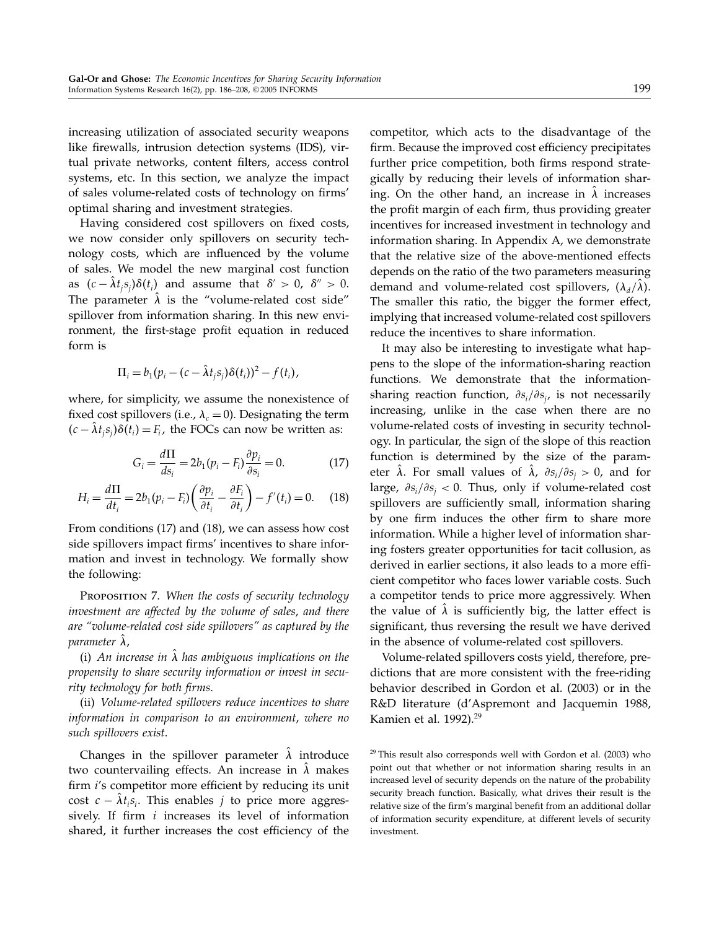increasing utilization of associated security weapons like firewalls, intrusion detection systems (IDS), virtual private networks, content filters, access control systems, etc. In this section, we analyze the impact of sales volume-related costs of technology on firms' optimal sharing and investment strategies.

Having considered cost spillovers on fixed costs, we now consider only spillovers on security technology costs, which are influenced by the volume of sales. We model the new marginal cost function as  $(c - \lambda t_i s_i) \delta(t_i)$  and assume that  $\delta' > 0$ ,  $\delta'' > 0$ . The parameter  $\hat{\lambda}$  is the "volume-related cost side" spillover from information sharing. In this new environment, the first-stage profit equation in reduced form is

$$
\Pi_i = b_1 (p_i - (c - \lambda t_j s_j) \delta(t_i))^2 - f(t_i),
$$

where, for simplicity, we assume the nonexistence of fixed cost spillovers (i.e.,  $\lambda_c = 0$ ). Designating the term  $(c - \lambda t_i s_i) \delta(t_i) = F_i$ , the FOCs can now be written as:

$$
G_i = \frac{d\Pi}{ds_i} = 2b_1(p_i - F_i)\frac{\partial p_i}{\partial s_i} = 0.
$$
 (17)

$$
H_i = \frac{d\Pi}{dt_i} = 2b_1(p_i - F_i)\left(\frac{\partial p_i}{\partial t_i} - \frac{\partial F_i}{\partial t_i}\right) - f'(t_i) = 0.
$$
 (18)

From conditions (17) and (18), we can assess how cost side spillovers impact firms' incentives to share information and invest in technology. We formally show the following:

PROPOSITION 7. When the costs of security technology investment are affected by the volume of sales, and there are "volume-related cost side spillovers" as captured by the parameter  $\lambda$ ,

(i) An increase in  $\hat{\lambda}$  has ambiguous implications on the propensity to share security information or invest in security technology for both firms.

(ii) Volume-related spillovers reduce incentives to share information in comparison to an environment, where no such spillovers exist.

Changes in the spillover parameter  $\hat{\lambda}$  introduce two countervailing effects. An increase in  $\lambda$  makes firm i's competitor more efficient by reducing its unit cost  $c - \lambda t_i s_i$ . This enables *j* to price more aggressively. If firm  $i$  increases its level of information shared, it further increases the cost efficiency of the

competitor, which acts to the disadvantage of the firm. Because the improved cost efficiency precipitates further price competition, both firms respond strategically by reducing their levels of information sharing. On the other hand, an increase in  $\lambda$  increases the profit margin of each firm, thus providing greater incentives for increased investment in technology and information sharing. In Appendix A, we demonstrate that the relative size of the above-mentioned effects depends on the ratio of the two parameters measuring demand and volume-related cost spillovers,  $(\lambda_d/\lambda)$ . The smaller this ratio, the bigger the former effect, implying that increased volume-related cost spillovers reduce the incentives to share information.

It may also be interesting to investigate what happens to the slope of the information-sharing reaction functions. We demonstrate that the informationsharing reaction function,  $\partial s_i/\partial s_i$ , is not necessarily increasing, unlike in the case when there are no volume-related costs of investing in security technology. In particular, the sign of the slope of this reaction function is determined by the size of the parameter  $\hat{\lambda}$ . For small values of  $\hat{\lambda}$ ,  $\partial s_i/\partial s_i > 0$ , and for large,  $\partial s_i/\partial s_i$  < 0. Thus, only if volume-related cost spillovers are sufficiently small, information sharing by one firm induces the other firm to share more information. While a higher level of information sharing fosters greater opportunities for tacit collusion, as derived in earlier sections, it also leads to a more efficient competitor who faces lower variable costs. Such a competitor tends to price more aggressively. When the value of  $\lambda$  is sufficiently big, the latter effect is significant, thus reversing the result we have derived in the absence of volume-related cost spillovers.

Volume-related spillovers costs yield, therefore, predictions that are more consistent with the free-riding behavior described in Gordon et al. (2003) or in the R&D literature (d'Aspremont and Jacquemin 1988, Kamien et al. 1992).<sup>29</sup>

<sup>29</sup> This result also corresponds well with Gordon et al. (2003) who point out that whether or not information sharing results in an increased level of security depends on the nature of the probability security breach function. Basically, what drives their result is the relative size of the firm's marginal benefit from an additional dollar of information security expenditure, at different levels of security investment.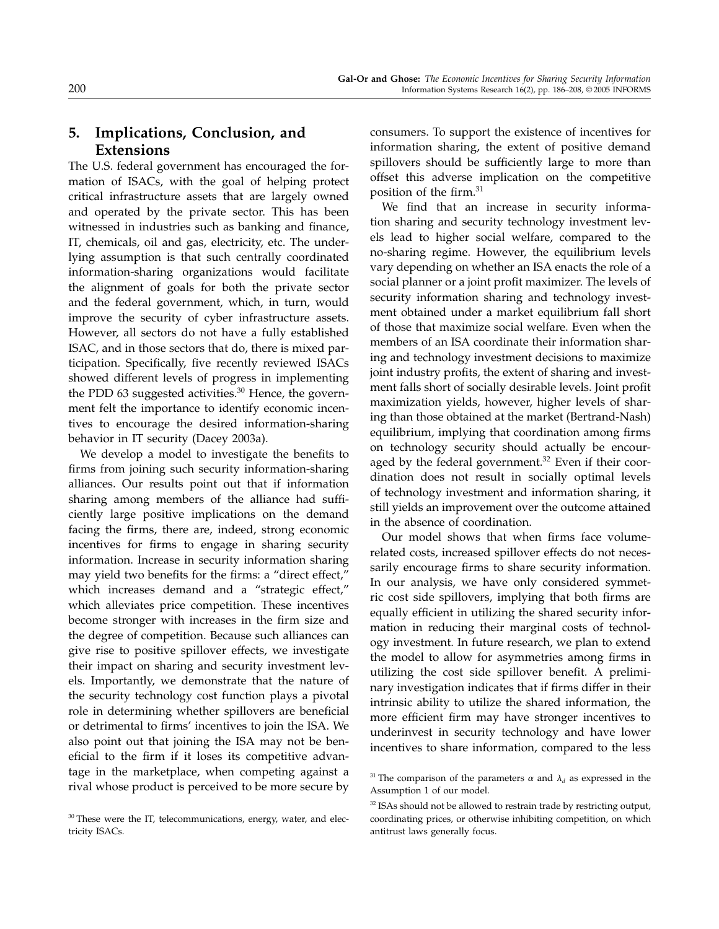# 5. Implications, Conclusion, and Extensions

The U.S. federal government has encouraged the formation of ISACs, with the goal of helping protect critical infrastructure assets that are largely owned and operated by the private sector. This has been witnessed in industries such as banking and finance, IT, chemicals, oil and gas, electricity, etc. The underlying assumption is that such centrally coordinated information-sharing organizations would facilitate the alignment of goals for both the private sector and the federal government, which, in turn, would improve the security of cyber infrastructure assets. However, all sectors do not have a fully established ISAC, and in those sectors that do, there is mixed participation. Specifically, five recently reviewed ISACs showed different levels of progress in implementing the PDD 63 suggested activities. $30$  Hence, the government felt the importance to identify economic incentives to encourage the desired information-sharing behavior in IT security (Dacey 2003a).

We develop a model to investigate the benefits to firms from joining such security information-sharing alliances. Our results point out that if information sharing among members of the alliance had sufficiently large positive implications on the demand facing the firms, there are, indeed, strong economic incentives for firms to engage in sharing security information. Increase in security information sharing may yield two benefits for the firms: a "direct effect," which increases demand and a "strategic effect," which alleviates price competition. These incentives become stronger with increases in the firm size and the degree of competition. Because such alliances can give rise to positive spillover effects, we investigate their impact on sharing and security investment levels. Importantly, we demonstrate that the nature of the security technology cost function plays a pivotal role in determining whether spillovers are beneficial or detrimental to firms' incentives to join the ISA. We also point out that joining the ISA may not be beneficial to the firm if it loses its competitive advantage in the marketplace, when competing against a rival whose product is perceived to be more secure by

consumers. To support the existence of incentives for information sharing, the extent of positive demand spillovers should be sufficiently large to more than offset this adverse implication on the competitive position of the firm.<sup>31</sup>

We find that an increase in security information sharing and security technology investment levels lead to higher social welfare, compared to the no-sharing regime. However, the equilibrium levels vary depending on whether an ISA enacts the role of a social planner or a joint profit maximizer. The levels of security information sharing and technology investment obtained under a market equilibrium fall short of those that maximize social welfare. Even when the members of an ISA coordinate their information sharing and technology investment decisions to maximize joint industry profits, the extent of sharing and investment falls short of socially desirable levels. Joint profit maximization yields, however, higher levels of sharing than those obtained at the market (Bertrand-Nash) equilibrium, implying that coordination among firms on technology security should actually be encouraged by the federal government. $32$  Even if their coordination does not result in socially optimal levels of technology investment and information sharing, it still yields an improvement over the outcome attained in the absence of coordination.

Our model shows that when firms face volumerelated costs, increased spillover effects do not necessarily encourage firms to share security information. In our analysis, we have only considered symmetric cost side spillovers, implying that both firms are equally efficient in utilizing the shared security information in reducing their marginal costs of technology investment. In future research, we plan to extend the model to allow for asymmetries among firms in utilizing the cost side spillover benefit. A preliminary investigation indicates that if firms differ in their intrinsic ability to utilize the shared information, the more efficient firm may have stronger incentives to underinvest in security technology and have lower incentives to share information, compared to the less

<sup>&</sup>lt;sup>30</sup> These were the IT, telecommunications, energy, water, and electricity ISACs.

<sup>&</sup>lt;sup>31</sup> The comparison of the parameters  $\alpha$  and  $\lambda_d$  as expressed in the Assumption 1 of our model.

<sup>&</sup>lt;sup>32</sup> ISAs should not be allowed to restrain trade by restricting output, coordinating prices, or otherwise inhibiting competition, on which antitrust laws generally focus.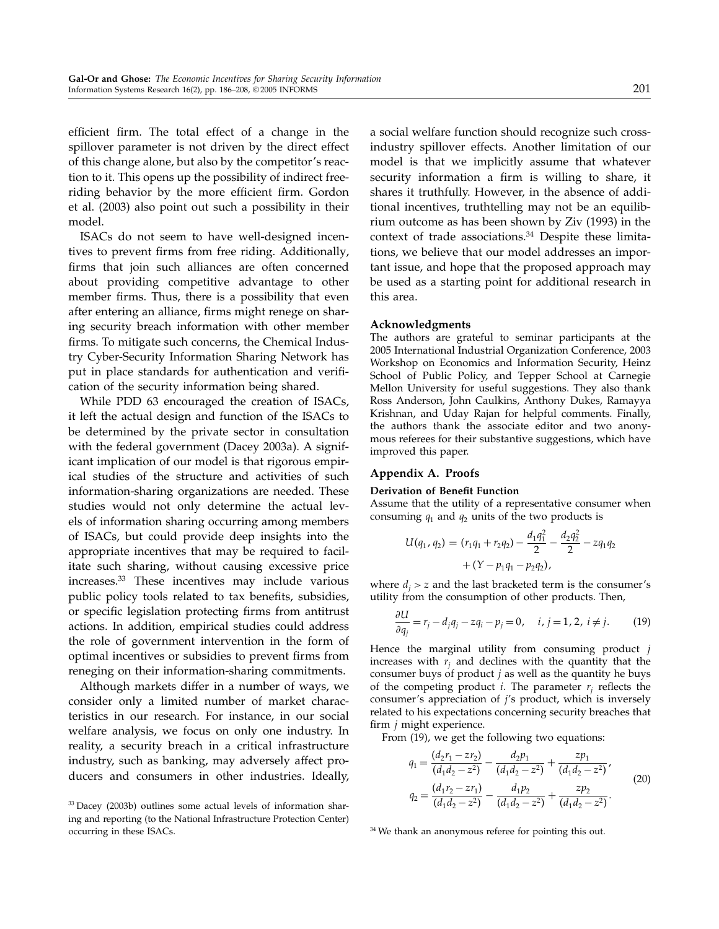efficient firm. The total effect of a change in the spillover parameter is not driven by the direct effect of this change alone, but also by the competitor's reaction to it. This opens up the possibility of indirect freeriding behavior by the more efficient firm. Gordon et al. (2003) also point out such a possibility in their model.

ISACs do not seem to have well-designed incentives to prevent firms from free riding. Additionally, firms that join such alliances are often concerned about providing competitive advantage to other member firms. Thus, there is a possibility that even after entering an alliance, firms might renege on sharing security breach information with other member firms. To mitigate such concerns, the Chemical Industry Cyber-Security Information Sharing Network has put in place standards for authentication and verification of the security information being shared.

While PDD 63 encouraged the creation of ISACs, it left the actual design and function of the ISACs to be determined by the private sector in consultation with the federal government (Dacey 2003a). A significant implication of our model is that rigorous empirical studies of the structure and activities of such information-sharing organizations are needed. These studies would not only determine the actual levels of information sharing occurring among members of ISACs, but could provide deep insights into the appropriate incentives that may be required to facilitate such sharing, without causing excessive price increases.<sup>33</sup> These incentives may include various public policy tools related to tax benefits, subsidies, or specific legislation protecting firms from antitrust actions. In addition, empirical studies could address the role of government intervention in the form of optimal incentives or subsidies to prevent firms from reneging on their information-sharing commitments.

Although markets differ in a number of ways, we consider only a limited number of market characteristics in our research. For instance, in our social welfare analysis, we focus on only one industry. In reality, a security breach in a critical infrastructure industry, such as banking, may adversely affect producers and consumers in other industries. Ideally,

a social welfare function should recognize such crossindustry spillover effects. Another limitation of our model is that we implicitly assume that whatever security information a firm is willing to share, it shares it truthfully. However, in the absence of additional incentives, truthtelling may not be an equilibrium outcome as has been shown by Ziv (1993) in the context of trade associations. $34$  Despite these limitations, we believe that our model addresses an important issue, and hope that the proposed approach may be used as a starting point for additional research in this area.

#### Acknowledgments

The authors are grateful to seminar participants at the 2005 International Industrial Organization Conference, 2003 Workshop on Economics and Information Security, Heinz School of Public Policy, and Tepper School at Carnegie Mellon University for useful suggestions. They also thank Ross Anderson, John Caulkins, Anthony Dukes, Ramayya Krishnan, and Uday Rajan for helpful comments. Finally, the authors thank the associate editor and two anonymous referees for their substantive suggestions, which have improved this paper.

#### Appendix A. Proofs

#### Derivation of Benefit Function

Assume that the utility of a representative consumer when consuming  $q_1$  and  $q_2$  units of the two products is

$$
U(q_1, q_2) = (r_1q_1 + r_2q_2) - \frac{d_1q_1^2}{2} - \frac{d_2q_2^2}{2} - zq_1q_2
$$
  
+ 
$$
(Y - p_1q_1 - p_2q_2),
$$

where  $d_i > z$  and the last bracketed term is the consumer's utility from the consumption of other products. Then,

$$
\frac{\partial U}{\partial q_j} = r_j - d_j q_j - z q_i - p_j = 0, \quad i, j = 1, 2, i \neq j. \tag{19}
$$

Hence the marginal utility from consuming product  $j$ increases with  $r_i$  and declines with the quantity that the consumer buys of product  $j$  as well as the quantity he buys of the competing product *i*. The parameter  $r_i$  reflects the consumer's appreciation of j's product, which is inversely related to his expectations concerning security breaches that firm j might experience.

From (19), we get the following two equations:

$$
q_1 = \frac{(d_2r_1 - zr_2)}{(d_1d_2 - z^2)} - \frac{d_2p_1}{(d_1d_2 - z^2)} + \frac{zp_1}{(d_1d_2 - z^2)},
$$
  
\n
$$
q_2 = \frac{(d_1r_2 - zr_1)}{(d_1d_2 - z^2)} - \frac{d_1p_2}{(d_1d_2 - z^2)} + \frac{zp_2}{(d_1d_2 - z^2)}.
$$
\n(20)

<sup>34</sup> We thank an anonymous referee for pointing this out.

<sup>33</sup> Dacey (2003b) outlines some actual levels of information sharing and reporting (to the National Infrastructure Protection Center) occurring in these ISACs.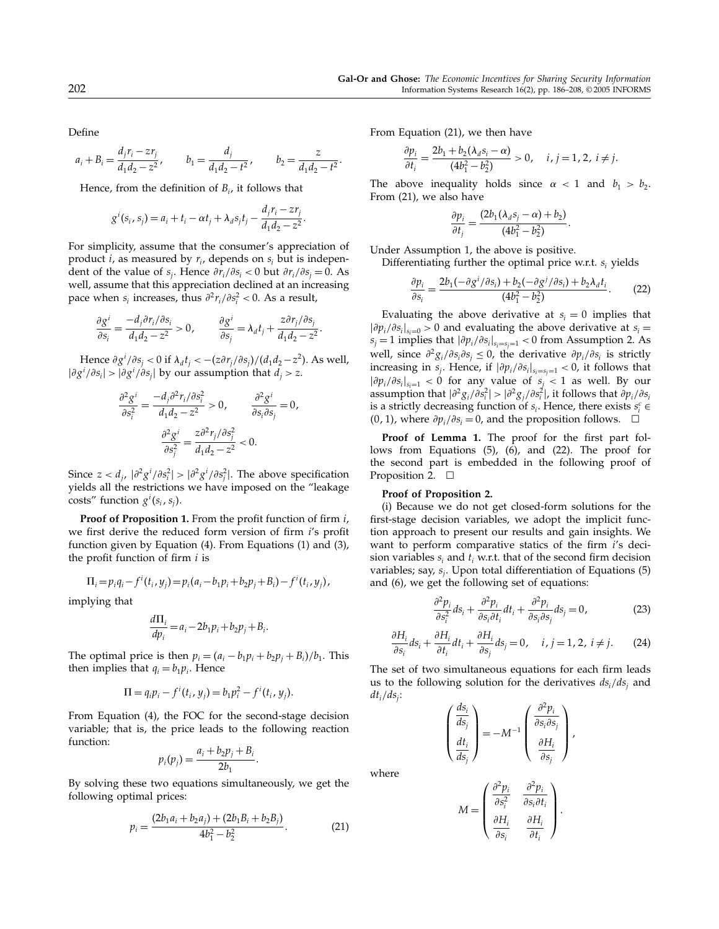Define

$$
a_i + B_i = \frac{d_j r_i - z r_j}{d_1 d_2 - z^2}, \qquad b_1 = \frac{d_j}{d_1 d_2 - t^2}, \qquad b_2 = \frac{z}{d_1 d_2 - t^2}.
$$

Hence, from the definition of  $B_i$ , it follows that

$$
g^{i}(s_{i}, s_{j}) = a_{i} + t_{i} - \alpha t_{j} + \lambda_{d} s_{j} t_{j} - \frac{d_{j} r_{i} - z r_{j}}{d_{1} d_{2} - z^{2}}.
$$

For simplicity, assume that the consumer's appreciation of product *i*, as measured by  $r_i$ , depends on  $s_i$  but is independent of the value of  $s_i$ . Hence  $\partial r_i/\partial s_i < 0$  but  $\partial r_i/\partial s_i = 0$ . As well, assume that this appreciation declined at an increasing pace when  $s_i$  increases, thus  $\partial^2 r_i / \partial s_i^2 < 0$ . As a result,

$$
\frac{\partial g^i}{\partial s_i} = \frac{-d_j \partial r_i / \partial s_i}{d_1 d_2 - z^2} > 0, \qquad \frac{\partial g^i}{\partial s_j} = \lambda_d t_j + \frac{z \partial r_j / \partial s_j}{d_1 d_2 - z^2}.
$$

Hence  $\partial g^i/\partial s_j < 0$  if  $\lambda_d t_j < -(z \partial r_j/\partial s_j)/(d_1 d_2 - z^2)$ . As well,  $|\partial g^i/\partial s_i| > |\partial g^i/\partial s_j|$  by our assumption that  $d_j > z$ .

$$
\frac{\partial^2 g^i}{\partial s_i^2} = \frac{-d_j \partial^2 r_i / \partial s_i^2}{d_1 d_2 - z^2} > 0, \qquad \frac{\partial^2 g^i}{\partial s_i \partial s_j} = 0,
$$

$$
\frac{\partial^2 g^i}{\partial s_j^2} = \frac{z \partial^2 r_j / \partial s_j^2}{d_1 d_2 - z^2} < 0.
$$

Since  $z < d_j$ ,  $|\partial^2 g^i / \partial s_i^2| > |\partial^2 g^i / \partial s_j^2|$ . The above specification yields all the restrictions we have imposed on the "leakage costs" function  $g^i(s_i, s_j)$ .

Proof of Proposition 1. From the profit function of firm i, we first derive the reduced form version of firm i's profit function given by Equation (4). From Equations (1) and (3), the profit function of firm  $i$  is

$$
\Pi_i = p_i q_i - f^i(t_i, y_j) = p_i(a_i - b_1 p_i + b_2 p_j + B_i) - f^i(t_i, y_j),
$$

implying that

$$
\frac{d\Pi_i}{dp_i} = a_i - 2b_1p_i + b_2p_j + B_i.
$$

The optimal price is then  $p_i = (a_i - b_1p_i + b_2p_i + B_i)/b_1$ . This then implies that  $q_i = b_1 p_i$ . Hence

$$
\Pi = q_i p_i - f^i(t_i, y_j) = b_1 p_i^2 - f^i(t_i, y_j).
$$

From Equation (4), the FOC for the second-stage decision variable; that is, the price leads to the following reaction function:

$$
p_i(p_j) = \frac{a_i + b_2 p_j + B_i}{2b_1}.
$$

By solving these two equations simultaneously, we get the following optimal prices:

$$
p_i = \frac{(2b_1a_i + b_2a_j) + (2b_1B_i + b_2B_j)}{4b_1^2 - b_2^2}.
$$
 (21)

From Equation (21), we then have

$$
\frac{\partial p_i}{\partial t_i} = \frac{2b_1 + b_2(\lambda_d s_i - \alpha)}{(4b_1^2 - b_2^2)} > 0, \quad i, j = 1, 2, i \neq j.
$$

The above inequality holds since  $\alpha < 1$  and  $b_1 > b_2$ . From (21), we also have

$$
\frac{\partial p_i}{\partial t_j} = \frac{(2b_1(\lambda_d s_j - \alpha) + b_2)}{(4b_1^2 - b_2^2)}.
$$

Under Assumption 1, the above is positive.

Differentiating further the optimal price w.r.t.  $s_i$  yields

$$
\frac{\partial p_i}{\partial s_i} = \frac{2b_1(-\partial g^i/\partial s_i) + b_2(-\partial g^j/\partial s_i) + b_2\lambda_d t_i}{(4b_1^2 - b_2^2)}.
$$
 (22)

Evaluating the above derivative at  $s_i = 0$  implies that  $|\partial p_i/\partial s_i|_{s_i=0} > 0$  and evaluating the above derivative at  $s_i =$  $s_j = 1$  implies that  $|\partial p_i/\partial s_i|_{s_i=s_j=1} < 0$  from Assumption 2. As well, since  $\partial^2 g_i/\partial s_i \partial s_j \leq 0$ , the derivative  $\partial p_i/\partial s_i$  is strictly increasing in  $s_j$ . Hence, if  $|\partial p_i/\partial s_i|_{s_i=s_j=1} < 0$ , it follows that  $|\partial p_i/\partial s_i|_{s_i=1}$  < 0 for any value of  $s_i < 1$  as well. By our assumption that  $|\partial^2 g_i/\partial s_i^2| > |\partial^2 g_j/\partial s_i^2|$ , it follows that  $\partial p_i/\partial s_i$ is a strictly decreasing function of  $s_i$ . Hence, there exists  $s_i^c$  $(0, 1)$ , where  $\partial p_i/\partial s_i = 0$ , and the proposition follows.  $\Box$ 

Proof of Lemma 1. The proof for the first part follows from Equations (5), (6), and (22). The proof for the second part is embedded in the following proof of Proposition 2.  $\square$ 

#### Proof of Proposition 2.

(i) Because we do not get closed-form solutions for the first-stage decision variables, we adopt the implicit function approach to present our results and gain insights. We want to perform comparative statics of the firm i's decision variables  $s_i$  and  $t_i$  w.r.t. that of the second firm decision variables; say,  $s_i$ . Upon total differentiation of Equations (5) and (6), we get the following set of equations:

$$
\frac{\partial^2 p_i}{\partial s_i^2} ds_i + \frac{\partial^2 p_i}{\partial s_i \partial t_i} dt_i + \frac{\partial^2 p_i}{\partial s_i \partial s_j} ds_j = 0,
$$
 (23)

$$
\frac{\partial H_i}{\partial s_i} ds_i + \frac{\partial H_i}{\partial t_i} dt_i + \frac{\partial H_i}{\partial s_j} ds_j = 0, \quad i, j = 1, 2, i \neq j.
$$
 (24)

The set of two simultaneous equations for each firm leads us to the following solution for the derivatives  $ds_i/ds_i$  and  $dt_i/ds_i$ :

$$
\begin{pmatrix}\n\frac{ds_i}{ds_j} \\
\frac{dt_i}{ds_j}\n\end{pmatrix} = -M^{-1} \begin{pmatrix}\n\frac{\partial^2 p_i}{\partial s_i \partial s_j} \\
\frac{\partial H_i}{\partial s_j}\n\end{pmatrix},
$$

where

$$
M = \begin{pmatrix} \frac{\partial^2 p_i}{\partial s_i^2} & \frac{\partial^2 p_i}{\partial s_i \partial t_i} \\ \frac{\partial H_i}{\partial s_i} & \frac{\partial H_i}{\partial t_i} \end{pmatrix}.
$$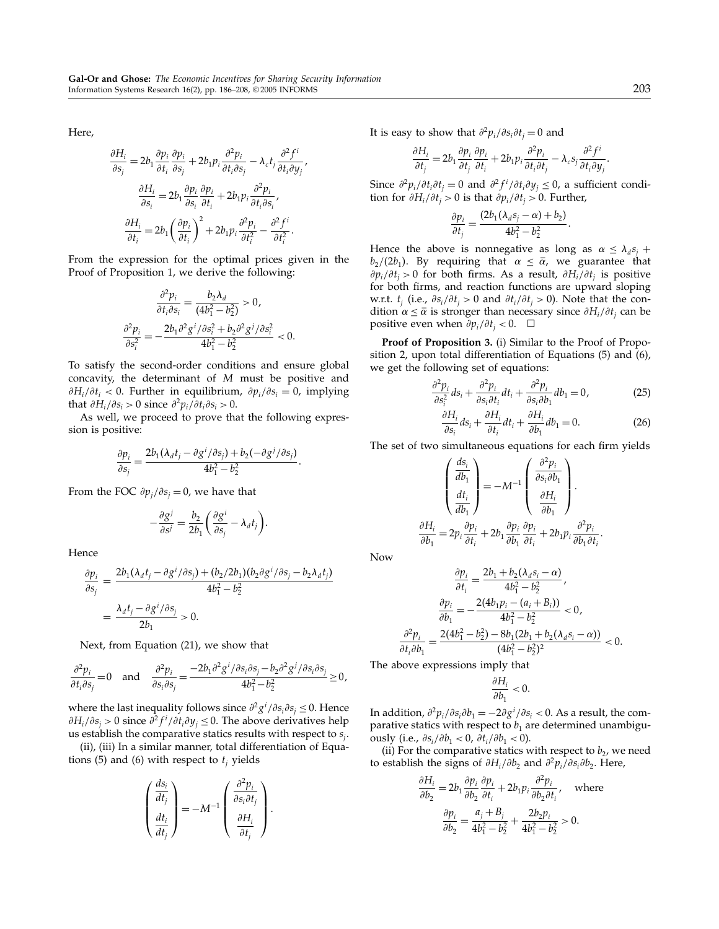Here,

$$
\frac{\partial H_i}{\partial s_j} = 2b_1 \frac{\partial p_i}{\partial t_i} \frac{\partial p_i}{\partial s_j} + 2b_1 p_i \frac{\partial^2 p_i}{\partial t_i \partial s_j} - \lambda_c t_j \frac{\partial^2 f^i}{\partial t_i \partial y_j},
$$
\n
$$
\frac{\partial H_i}{\partial s_i} = 2b_1 \frac{\partial p_i}{\partial s_i} \frac{\partial p_i}{\partial t_i} + 2b_1 p_i \frac{\partial^2 p_i}{\partial t_i \partial s_i},
$$
\n
$$
\frac{\partial H_i}{\partial t_i} = 2b_1 \left(\frac{\partial p_i}{\partial t_i}\right)^2 + 2b_1 p_i \frac{\partial^2 p_i}{\partial t_i^2} - \frac{\partial^2 f^i}{\partial t_i^2}.
$$

From the expression for the optimal prices given in the Proof of Proposition 1, we derive the following:

$$
\frac{\partial^2 p_i}{\partial t_i \partial s_i} = \frac{b_2 \lambda_d}{(4b_1^2 - b_2^2)} > 0,
$$

$$
\frac{\partial^2 p_i}{\partial s_i^2} = -\frac{2b_1 \partial^2 g^i / \partial s_i^2 + b_2 \partial^2 g^j / \partial s_i^2}{4b_1^2 - b_2^2} < 0.
$$

To satisfy the second-order conditions and ensure global concavity, the determinant of M must be positive and  $\partial H_i/\partial t_i$  < 0. Further in equilibrium,  $\partial p_i/\partial s_i = 0$ , implying that  $\partial H_i/\partial s_i > 0$  since  $\partial^2 p_i/\partial t_i \partial s_i > 0$ .

As well, we proceed to prove that the following expression is positive:

$$
\frac{\partial p_i}{\partial s_j} = \frac{2b_1(\lambda_d t_j - \partial g^i/\partial s_j) + b_2(-\partial g^j/\partial s_j)}{4b_1^2 - b_2^2}.
$$

From the FOC  $\partial p_i/\partial s_i = 0$ , we have that

$$
-\frac{\partial g^j}{\partial s^j} = \frac{b_2}{2b_1} \left( \frac{\partial g^i}{\partial s_j} - \lambda_d t_j \right).
$$

Hence

$$
\frac{\partial p_i}{\partial s_j} = \frac{2b_1(\lambda_d t_j - \partial g^i/\partial s_j) + (b_2/2b_1)(b_2\partial g^i/\partial s_j - b_2\lambda_d t_j)}{4b_1^2 - b_2^2}
$$

$$
= \frac{\lambda_d t_j - \partial g^i/\partial s_j}{2b_1} > 0.
$$

Next, from Equation (21), we show that

$$
\frac{\partial^2 p_i}{\partial t_i \partial s_j} = 0 \quad \text{and} \quad \frac{\partial^2 p_i}{\partial s_i \partial s_j} = \frac{-2b_1 \partial^2 g^i / \partial s_i \partial s_j - b_2 \partial^2 g^j / \partial s_i \partial s_j}{4b_1^2 - b_2^2} \ge 0,
$$

where the last inequality follows since  $\partial^2 g^i / \partial s_i \partial s_j \leq 0$ . Hence  $\partial H_i/\partial s_j > 0$  since  $\partial^2 f^i/\partial t_i \partial y_j \leq 0$ . The above derivatives help us establish the comparative statics results with respect to  $s_i$ .

(ii), (iii) In a similar manner, total differentiation of Equations (5) and (6) with respect to  $t_i$  yields

$$
\begin{pmatrix} \frac{ds_i}{dt_j} \\ \frac{dt_i}{dt_j} \end{pmatrix} = -M^{-1} \begin{pmatrix} \frac{\partial^2 p_i}{\partial s_i \partial t_j} \\ \frac{\partial H_i}{\partial t_j} \end{pmatrix}.
$$

It is easy to show that  $\partial^2 p_i/\partial s_i \partial t_j = 0$  and

$$
\frac{\partial H_i}{\partial t_j} = 2b_1 \frac{\partial p_i}{\partial t_j} \frac{\partial p_i}{\partial t_i} + 2b_1 p_i \frac{\partial^2 p_i}{\partial t_i \partial t_j} - \lambda_c s_j \frac{\partial^2 f^i}{\partial t_i \partial t_j}.
$$

Since  $\partial^2 p_i/\partial t_i \partial t_j = 0$  and  $\partial^2 f^i/\partial t_i \partial y_j \le 0$ , a sufficient condition for  $\partial H_i/\partial t_j > 0$  is that  $\partial p_i/\partial t_j > 0$ . Further,

$$
\frac{\partial p_i}{\partial t_j} = \frac{(2b_1(\lambda_d s_j - \alpha) + b_2)}{4b_1^2 - b_2^2}
$$

Hence the above is nonnegative as long as  $\alpha \leq \lambda_d s_i$  +  $b_2/(2b_1)$ . By requiring that  $\alpha \leq \overline{\alpha}$ , we guarantee that  $\partial p_i/\partial t_j > 0$  for both firms. As a result,  $\partial H_i/\partial t_j$  is positive for both firms, and reaction functions are upward sloping w.r.t.  $t_i$  (i.e.,  $\partial s_i/\partial t_i > 0$  and  $\partial t_i/\partial t_i > 0$ ). Note that the condition  $\alpha \leq \overline{\alpha}$  is stronger than necessary since  $\partial H_i/\partial t_i$  can be positive even when  $\partial p_i/\partial t_i < 0$ .  $\Box$ 

Proof of Proposition 3. (i) Similar to the Proof of Proposition 2, upon total differentiation of Equations (5) and (6), we get the following set of equations:

$$
\frac{\partial^2 p_i}{\partial s_i^2} ds_i + \frac{\partial^2 p_i}{\partial s_i \partial t_i} dt_i + \frac{\partial^2 p_i}{\partial s_i \partial b_1} db_1 = 0,
$$
 (25)

$$
\frac{\partial H_i}{\partial s_i} ds_i + \frac{\partial H_i}{\partial t_i} dt_i + \frac{\partial H_i}{\partial b_1} db_1 = 0.
$$
 (26)

.

The set of two simultaneous equations for each firm yields

$$
\begin{pmatrix}\n\frac{ds_i}{db_1} \\
\frac{dt_i}{db_1}\n\end{pmatrix} = -M^{-1} \begin{pmatrix}\n\frac{\partial^2 p_i}{\partial s_i \partial b_1} \\
\frac{\partial H_i}{\partial b_1}\n\end{pmatrix}.
$$
\n
$$
\frac{\partial H_i}{\partial b_1} = 2p_i \frac{\partial p_i}{\partial t_i} + 2b_1 \frac{\partial p_i}{\partial b_1} \frac{\partial p_i}{\partial t_i} + 2b_1 p_i \frac{\partial^2 p_i}{\partial b_1 \partial t_i}.
$$

Now

 $\partial$ 

$$
\frac{\partial p_i}{\partial t_i} = \frac{2b_1 + b_2(\lambda_d s_i - \alpha)}{4b_1^2 - b_2^2},
$$

$$
\frac{\partial p_i}{\partial b_1} = -\frac{2(4b_1 p_i - (a_i + B_i))}{4b_1^2 - b_2^2} < 0,
$$

$$
\frac{\partial^2 p_i}{\partial t_i \partial b_1} = \frac{2(4b_1^2 - b_2^2) - 8b_1(2b_1 + b_2(\lambda_d s_i - \alpha))}{(4b_1^2 - b_2^2)^2} < 0.
$$

The above expressions imply that

$$
\frac{\partial H_i}{\partial b_1}<0.
$$

In addition,  $\partial^2 p_i / \partial s_i \partial b_1 = -2 \partial g^i / \partial s_i < 0$ . As a result, the comparative statics with respect to  $b_1$  are determined unambiguously (i.e.,  $\partial s_i/\partial b_1 < 0$ ,  $\partial t_i/\partial b_1 < 0$ ).

(ii) For the comparative statics with respect to  $b_2$ , we need to establish the signs of  $\partial H_i/\partial b_2$  and  $\partial^2 p_i/\partial s_i \partial b_2$ . Here,

$$
\frac{\partial H_i}{\partial b_2} = 2b_1 \frac{\partial p_i}{\partial b_2} \frac{\partial p_i}{\partial t_i} + 2b_1 p_i \frac{\partial^2 p_i}{\partial b_2 \partial t_i}, \quad \text{where}
$$

$$
\frac{\partial p_i}{\partial b_2} = \frac{a_j + B_j}{4b_1^2 - b_2^2} + \frac{2b_2 p_i}{4b_1^2 - b_2^2} > 0.
$$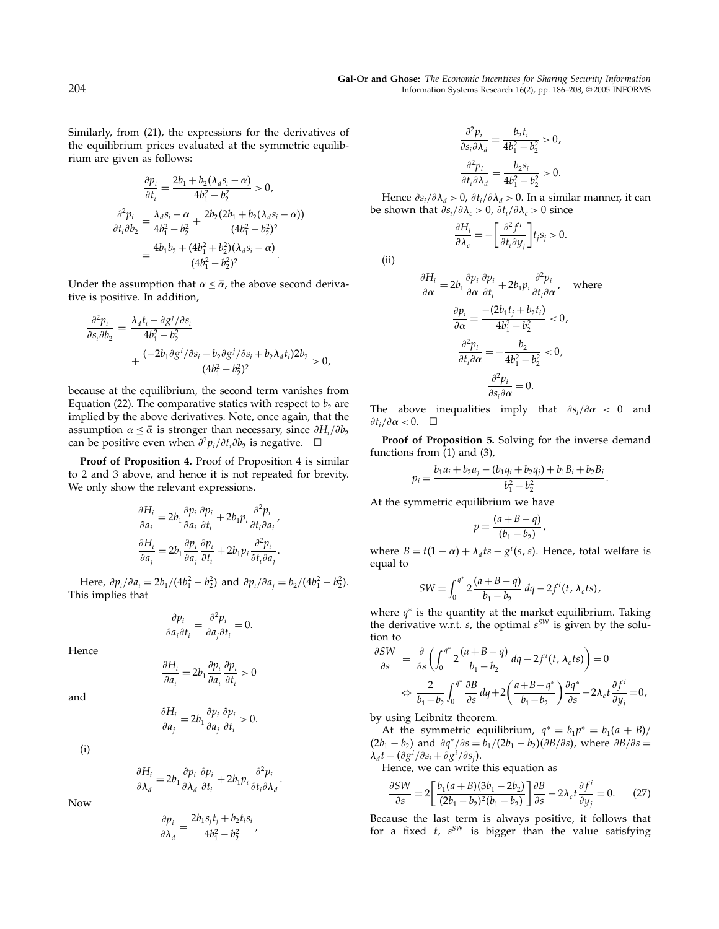Similarly, from (21), the expressions for the derivatives of the equilibrium prices evaluated at the symmetric equilibrium are given as follows:

$$
\frac{\partial p_i}{\partial t_i} = \frac{2b_1 + b_2(\lambda_d s_i - \alpha)}{4b_1^2 - b_2^2} > 0,
$$
  

$$
\frac{\partial^2 p_i}{\partial t_i \partial b_2} = \frac{\lambda_d s_i - \alpha}{4b_1^2 - b_2^2} + \frac{2b_2(2b_1 + b_2(\lambda_d s_i - \alpha))}{(4b_1^2 - b_2^2)^2}
$$
  

$$
= \frac{4b_1b_2 + (4b_1^2 + b_2^2)(\lambda_d s_i - \alpha)}{(4b_1^2 - b_2^2)^2}.
$$

Under the assumption that  $\alpha \leq \overline{\alpha}$ , the above second derivative is positive. In addition,

$$
\frac{\partial^2 p_i}{\partial s_i \partial b_2} = \frac{\lambda_d t_i - \partial g^j / \partial s_i}{4b_1^2 - b_2^2} + \frac{(-2b_1 \partial g^j / \partial s_i - b_2 \partial g^j / \partial s_i + b_2 \lambda_d t_i) 2b_2}{(4b_1^2 - b_2^2)^2} > 0,
$$

because at the equilibrium, the second term vanishes from Equation (22). The comparative statics with respect to  $b_2$  are implied by the above derivatives. Note, once again, that the assumption  $\alpha \leq \overline{\alpha}$  is stronger than necessary, since  $\partial H_i/\partial b_2$ can be positive even when  $\partial^2 p_i/\partial t_i \partial b_2$  is negative.  $\Box$ 

Proof of Proposition 4. Proof of Proposition 4 is similar to 2 and 3 above, and hence it is not repeated for brevity. We only show the relevant expressions.

$$
\frac{\partial H_i}{\partial a_i} = 2b_1 \frac{\partial p_i}{\partial a_i} \frac{\partial p_i}{\partial t_i} + 2b_1 p_i \frac{\partial^2 p_i}{\partial t_i \partial a_i},
$$

$$
\frac{\partial H_i}{\partial a_j} = 2b_1 \frac{\partial p_i}{\partial a_j} \frac{\partial p_i}{\partial t_i} + 2b_1 p_i \frac{\partial^2 p_i}{\partial t_i \partial a_j}.
$$

Here,  $\partial p_i / \partial a_i = 2b_1 / (4b_1^2 - b_2^2)$  and  $\partial p_i / \partial a_j = b_2 / (4b_1^2 - b_2^2)$ . This implies that

$$
\frac{\partial p_i}{\partial a_i \partial t_i} = \frac{\partial^2 p_i}{\partial a_j \partial t_i} = 0.
$$

Hence

$$
\frac{\partial H_i}{\partial a_i} = 2b_1 \frac{\partial p_i}{\partial a_i} \frac{\partial p_i}{\partial t_i} > 0
$$

and

 $\partial H_i$  $\frac{\partial H_i}{\partial a_j} = 2b_1 \frac{\partial p_i}{\partial a_j}$  $\partial a_j$  $\partial p_i$  $\frac{\partial^2 t_i}{\partial t_i} > 0.$ 

(i)

$$
\frac{\partial H_i}{\partial \lambda_d} = 2b_1 \frac{\partial p_i}{\partial \lambda_d} \frac{\partial p_i}{\partial t_i} + 2b_1 p_i \frac{\partial^2 p_i}{\partial t_i \partial \lambda_d}.
$$

Now

$$
\frac{\partial p_i}{\partial \lambda_d} = \frac{2b_1s_jt_j + b_2t_is_i}{4b_1^2 - b_2^2},
$$

$$
\frac{\partial^2 p_i}{\partial s_i \partial \lambda_d} = \frac{b_2 t_i}{4b_1^2 - b_2^2} > 0,
$$

$$
\frac{\partial^2 p_i}{\partial t_i \partial \lambda_d} = \frac{b_2 s_i}{4b_1^2 - b_2^2} > 0.
$$

Hence  $\partial s_i/\partial \lambda_d > 0$ ,  $\partial t_i/\partial \lambda_d > 0$ . In a similar manner, it can be shown that  $\partial s_i/\partial \lambda_c > 0$ ,  $\partial t_i/\partial \lambda_c > 0$  since

$$
\frac{\partial H_i}{\partial \lambda_c} = -\left[\frac{\partial^2 f^i}{\partial t_i \partial y_j}\right] t_j s_j > 0.
$$

$$
(\rm ii)
$$

$$
\frac{\partial H_i}{\partial \alpha} = 2b_1 \frac{\partial p_i}{\partial \alpha} \frac{\partial p_i}{\partial t_i} + 2b_1 p_i \frac{\partial^2 p_i}{\partial t_i \partial \alpha}, \quad \text{where}
$$

$$
\frac{\partial p_i}{\partial \alpha} = \frac{-(2b_1 t_j + b_2 t_i)}{4b_1^2 - b_2^2} < 0,
$$

$$
\frac{\partial^2 p_i}{\partial t_i \partial \alpha} = -\frac{b_2}{4b_1^2 - b_2^2} < 0,
$$

$$
\frac{\partial^2 p_i}{\partial s_i \partial \alpha} = 0.
$$

The above inequalities imply that  $\partial s_i/\partial \alpha < 0$  and  $\partial t_i/\partial \alpha < 0.$   $\Box$ 

Proof of Proposition 5. Solving for the inverse demand functions from (1) and (3),

$$
p_i = \frac{b_1a_i + b_2a_j - (b_1q_i + b_2q_j) + b_1B_i + b_2B_j}{b_1^2 - b_2^2}.
$$

At the symmetric equilibrium we have

$$
p=\frac{(a+B-q)}{(b_1-b_2)},
$$

where  $B = t(1 - \alpha) + \lambda_d ts - g^i(s, s)$ . Hence, total welfare is equal to

$$
SW = \int_0^{q^*} 2\frac{(a+B-q)}{b_1-b_2} \, dq - 2f^i(t, \, \lambda_c ts),
$$

where  $q^*$  is the quantity at the market equilibrium. Taking the derivative w.r.t. s, the optimal  $s^{SW}$  is given by the solution to

$$
\frac{\partial SW}{\partial s} = \frac{\partial}{\partial s} \left( \int_0^{\eta^*} 2 \frac{(a+B-q)}{b_1 - b_2} dq - 2f^i(t, \lambda_c ts) \right) = 0
$$
  

$$
\Leftrightarrow \frac{2}{b_1 - b_2} \int_0^{\eta^*} \frac{\partial B}{\partial s} dq + 2 \left( \frac{a+B-q^*}{b_1 - b_2} \right) \frac{\partial q^*}{\partial s} - 2\lambda_c t \frac{\partial f^i}{\partial y_j} = 0,
$$

by using Leibnitz theorem.

At the symmetric equilibrium,  $q^* = b_1p^* = b_1(a + B)/$  $(2b_1 - b_2)$  and  $\partial q^*/\partial s = b_1/(2b_1 - b_2)(\partial B/\partial s)$ , where  $\partial B/\partial s =$  $\lambda_d t - (\partial g^i/\partial s_i + \partial g^i/\partial s_j).$ 

Hence, we can write this equation as

$$
\frac{\partial SW}{\partial s} = 2 \left[ \frac{b_1(a+B)(3b_1 - 2b_2)}{(2b_1 - b_2)^2(b_1 - b_2)} \right] \frac{\partial B}{\partial s} - 2\lambda_c t \frac{\partial f^i}{\partial y_j} = 0. \tag{27}
$$

Because the last term is always positive, it follows that for a fixed  $t$ ,  $s^{SW}$  is bigger than the value satisfying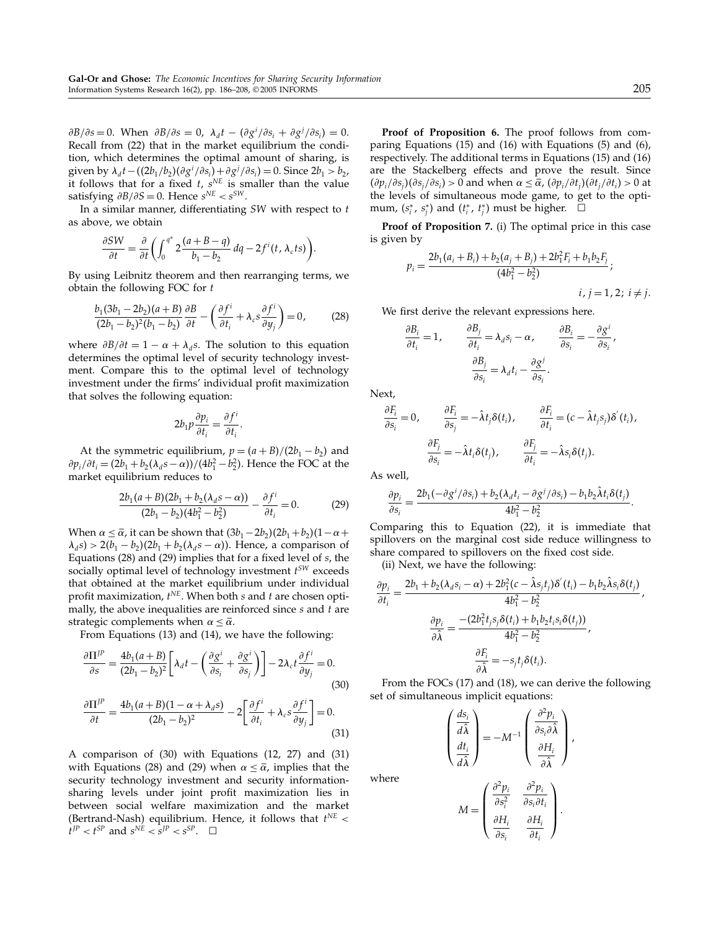$\partial B/\partial s = 0$ . When  $\partial B/\partial s = 0$ ,  $\lambda_d t - (\partial g^i/\partial s_i + \partial g^j/\partial s_i) = 0$ . Recall from (22) that in the market equilibrium the condition, which determines the optimal amount of sharing, is given by  $\lambda_d t - ((2b_1/b_2)(\partial g^i/\partial s_i) + \partial g^j/\partial s_i) = 0$ . Since  $2b_1 > b_2$ , it follows that for a fixed  $t$ ,  $s^{NE}$  is smaller than the value satisfying  $\partial B/\partial S = 0$ . Hence  $s^{NE} < s^{SW}$ .

In a similar manner, differentiating  $SW$  with respect to  $t$ as above, we obtain

$$
\frac{\partial SW}{\partial t} = \frac{\partial}{\partial t} \left( \int_0^{q^*} 2 \frac{(a+B-q)}{b_1-b_2} dq - 2f^i(t, \lambda_c ts) \right).
$$

By using Leibnitz theorem and then rearranging terms, we obtain the following FOC for t

$$
\frac{b_1(3b_1 - 2b_2)(a + B)}{(2b_1 - b_2)^2(b_1 - b_2)} \frac{\partial B}{\partial t} - \left(\frac{\partial f^i}{\partial t_i} + \lambda_c s \frac{\partial f^i}{\partial y_j}\right) = 0,\tag{28}
$$

where  $\partial B/\partial t = 1 - \alpha + \lambda_d s$ . The solution to this equation determines the optimal level of security technology investment. Compare this to the optimal level of technology investment under the firms' individual profit maximization that solves the following equation:

$$
2b_1p\frac{\partial p_i}{\partial t_i} = \frac{\partial f^i}{\partial t_i}.
$$

At the symmetric equilibrium,  $p = (a + B)/(2b_1 - b_2)$  and  $\partial p_i/\partial t_i = (2b_1 + b_2(\lambda_d s - \alpha))/(4b_1^2 - b_2^2)$ . Hence the FOC at the market equilibrium reduces to

$$
\frac{2b_1(a+B)(2b_1+b_2(\lambda_d s-\alpha))}{(2b_1-b_2)(4b_1^2-b_2^2)}-\frac{\partial f^i}{\partial t_i}=0.
$$
 (29)

When  $\alpha \leq \overline{\alpha}$ , it can be shown that  $(3b_1-2b_2)(2b_1+b_2)(1-\alpha+1)$  $\lambda_d s$ ) > 2( $b_1 - b_2$ )(2 $b_1 + b_2(\lambda_d s - \alpha)$ ). Hence, a comparison of Equations (28) and (29) implies that for a fixed level of s, the socially optimal level of technology investment  $t^{SW}$  exceeds that obtained at the market equilibrium under individual profit maximization,  $t^{NE}$ . When both s and t are chosen optimally, the above inequalities are reinforced since  $s$  and  $t$  are strategic complements when  $\alpha < \overline{\alpha}$ .

From Equations (13) and (14), we have the following:

$$
\frac{\partial \Pi^{IP}}{\partial s} = \frac{4b_1(a+B)}{(2b_1-b_2)^2} \left[ \lambda_d t - \left( \frac{\partial g^i}{\partial s_i} + \frac{\partial g^i}{\partial s_j} \right) \right] - 2\lambda_c t \frac{\partial f^i}{\partial y_j} = 0.
$$
\n
$$
\frac{\partial \Pi^{IP}}{\partial t} = \frac{4b_1(a+B)(1-\alpha+\lambda_d s)}{(2b_1-b_2)^2} - 2 \left[ \frac{\partial f^i}{\partial t_i} + \lambda_c s \frac{\partial f^i}{\partial y_j} \right] = 0.
$$
\n(31)

A comparison of (30) with Equations (12, 27) and (31) with Equations (28) and (29) when  $\alpha \leq \overline{\alpha}$ , implies that the security technology investment and security informationsharing levels under joint profit maximization lies in between social welfare maximization and the market (Bertrand-Nash) equilibrium. Hence, it follows that  $t^{NE}$  <  $t^{JP} < t^{SP}$  and  $s^{NE} < s^{JP} < s^{SP}$ .  $\Box$ 

Proof of Proposition 6. The proof follows from comparing Equations (15) and (16) with Equations (5) and (6), respectively. The additional terms in Equations (15) and (16) are the Stackelberg effects and prove the result. Since  $(\partial p_i/\partial s_j)(\partial s_j/\partial s_i) > 0$  and when  $\alpha \leq \overline{\alpha}$ ,  $(\partial p_i/\partial t_j)(\partial t_j/\partial t_i) > 0$  at the levels of simultaneous mode game, to get to the optimum,  $(s_i^*, s_j^*)$  and  $(t_i^*, t_j^*)$  must be higher.  $\Box$ 

Proof of Proposition 7. (i) The optimal price in this case is given by

$$
p_i = \frac{2b_1(a_i + B_i) + b_2(a_j + B_j) + 2b_1^2F_i + b_1b_2F_j}{(4b_1^2 - b_2^2)};
$$
  
*i*, *j* = 1, 2; *i*  $\neq$  *j*.

We first derive the relevant expressions here.

$$
= 1, \qquad \frac{\partial B_j}{\partial t_i} = \lambda_d s_i - \alpha, \qquad \frac{\partial B_i}{\partial s_i} = -\frac{\partial g^i}{\partial s_i}
$$

$$
\frac{\partial B_j}{\partial s_i} = \lambda_d t_i - \frac{\partial g^j}{\partial s_i}.
$$

Next,

 $\partial B$  $\overline{\partial t_i}$ 

$$
\frac{\partial F_i}{\partial s_i} = 0, \qquad \frac{\partial F_i}{\partial s_j} = -\hat{\lambda} t_j \delta(t_i), \qquad \frac{\partial F_i}{\partial t_i} = (c - \hat{\lambda} t_j s_j) \delta'(t_i),
$$

$$
\frac{\partial F_j}{\partial s_i} = -\hat{\lambda} t_i \delta(t_j), \qquad \frac{\partial F_j}{\partial t_i} = -\hat{\lambda} s_i \delta(t_j).
$$

As well,

$$
\frac{\partial p_i}{\partial s_i} = \frac{2b_1(-\partial g^i/\partial s_i) + b_2(\lambda_d t_i - \partial g^j/\partial s_i) - b_1 b_2 \hat{\lambda} t_i \delta(t_j)}{4b_1^2 - b_2^2}.
$$

Comparing this to Equation (22), it is immediate that spillovers on the marginal cost side reduce willingness to share compared to spillovers on the fixed cost side.

(ii) Next, we have the following:

$$
\frac{\partial p_i}{\partial t_i} = \frac{2b_1 + b_2(\lambda_d s_i - \alpha) + 2b_1^2(c - \hat{\lambda} s_j t_j)\delta'(t_i) - b_1 b_2 \hat{\lambda} s_i \delta(t_j)}{4b_1^2 - b_2^2},
$$

$$
\frac{\partial p_i}{\partial \hat{\lambda}} = \frac{-(2b_1^2 t_j s_j \delta(t_i) + b_1 b_2 t_i s_i \delta(t_j))}{4b_1^2 - b_2^2},
$$

$$
\frac{\partial F_i}{\partial \hat{\lambda}} = -s_j t_j \delta(t_i).
$$

From the FOCs (17) and (18), we can derive the following set of simultaneous implicit equations:

$$
\begin{pmatrix} \frac{ds_i}{d\hat{\lambda}} \\ \frac{dt_i}{d\hat{\lambda}} \end{pmatrix} = -M^{-1} \begin{pmatrix} \frac{\partial^2 p_i}{\partial s_i \partial \hat{\lambda}} \\ \frac{\partial H_i}{\partial \hat{\lambda}} \end{pmatrix},
$$

 $2p$ 

where

$$
M = \begin{pmatrix} \frac{\partial^2 p_i}{\partial s_i^2} & \frac{\partial^2 p_i}{\partial s_i \partial t_i} \\ \frac{\partial H_i}{\partial s_i} & \frac{\partial H_i}{\partial t_i} \end{pmatrix}.
$$

 $\overline{1}$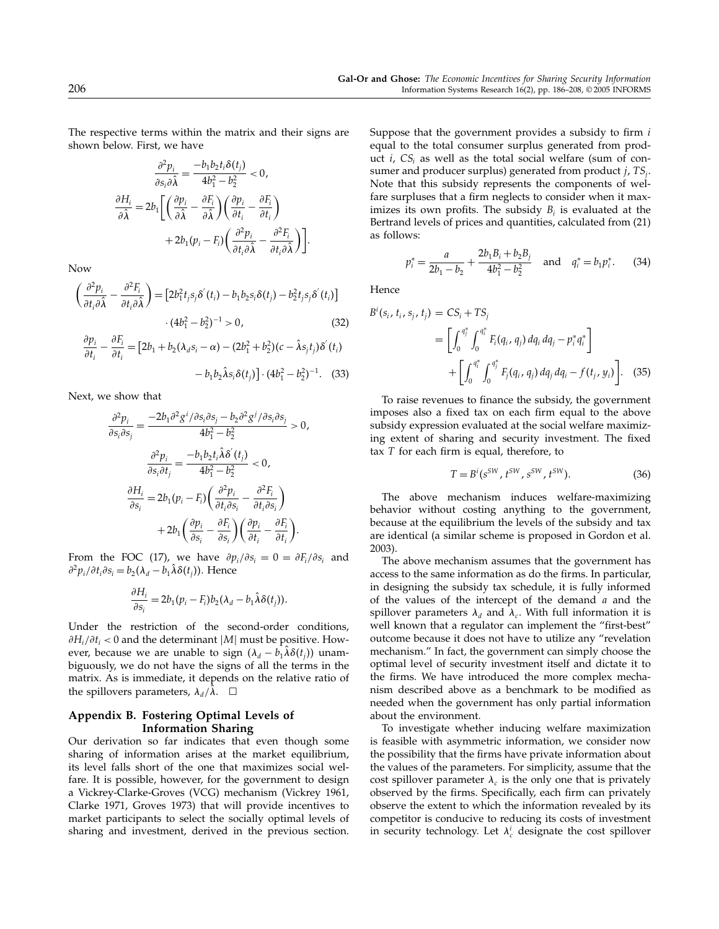The respective terms within the matrix and their signs are shown below. First, we have

$$
\frac{\partial^2 p_i}{\partial s_i \partial \hat{\lambda}} = \frac{-b_1 b_2 t_i \delta(t_j)}{4b_1^2 - b_2^2} < 0,
$$
  

$$
\frac{\partial H_i}{\partial \hat{\lambda}} = 2b_1 \left[ \left( \frac{\partial p_i}{\partial \hat{\lambda}} - \frac{\partial F_i}{\partial \hat{\lambda}} \right) \left( \frac{\partial p_i}{\partial t_i} - \frac{\partial F_i}{\partial t_i} \right) + 2b_1 (p_i - F_i) \left( \frac{\partial^2 p_i}{\partial t_i \partial \hat{\lambda}} - \frac{\partial^2 F_i}{\partial t_i \partial \hat{\lambda}} \right) \right].
$$

Now

$$
\left(\frac{\partial^2 p_i}{\partial t_i \partial \hat{\lambda}} - \frac{\partial^2 F_i}{\partial t_i \partial \hat{\lambda}}\right) = \left[2b_1^2 t_j s_j \delta'(t_i) - b_1 b_2 s_i \delta(t_j) - b_2^2 t_j s_j \delta'(t_i)\right]
$$
  
 
$$
\cdot (4b_1^2 - b_2^2)^{-1} > 0,
$$
 (32)

$$
\frac{\partial p_i}{\partial t_i} - \frac{\partial F_i}{\partial t_i} = \left[2b_1 + b_2(\lambda_d s_i - \alpha) - (2b_1^2 + b_2^2)(c - \hat{\lambda} s_j t_j)\delta'(t_i) - b_1 b_2 \hat{\lambda} s_i \delta(t_j)\right] \cdot (4b_1^2 - b_2^2)^{-1}.
$$
 (33)

Next, we show that

$$
\frac{\partial^2 p_i}{\partial s_i \partial s_j} = \frac{-2b_1 \partial^2 g^i / \partial s_i \partial s_j - b_2 \partial^2 g^j / \partial s_i \partial s_j}{4b_1^2 - b_2^2} > 0,
$$

$$
\frac{\partial^2 p_i}{\partial s_i \partial t_j} = \frac{-b_1 b_2 t_i \hat{\lambda} \delta'(t_j)}{4b_1^2 - b_2^2} < 0,
$$

$$
\frac{\partial H_i}{\partial s_i} = 2b_1 (p_i - F_i) \left( \frac{\partial^2 p_i}{\partial t_i \partial s_i} - \frac{\partial^2 F_i}{\partial t_i \partial s_i} \right)
$$

$$
+ 2b_1 \left( \frac{\partial p_i}{\partial s_i} - \frac{\partial F_i}{\partial s_i} \right) \left( \frac{\partial p_i}{\partial t_i} - \frac{\partial F_i}{\partial t_i} \right).
$$

From the FOC (17), we have  $\partial p_i/\partial s_i = 0 = \partial F_i/\partial s_i$  and  $\frac{\partial^2 p_i}{\partial t_i \partial s_i} = b_2 (\lambda_d - b_1 \hat{\lambda} \delta(t_i))$ . Hence

$$
\frac{\partial H_i}{\partial s_i} = 2b_1(p_i - F_i)b_2(\lambda_d - b_1\hat{\lambda}\delta(t_j)).
$$

Under the restriction of the second-order conditions,  $\partial H_i/\partial t_i$  < 0 and the determinant |M| must be positive. However, because we are unable to sign  $(\lambda_d - b_1 \lambda \delta(t_i))$  unambiguously, we do not have the signs of all the terms in the matrix. As is immediate, it depends on the relative ratio of the spillovers parameters,  $\lambda_d/\lambda$ .  $\Box$ 

## Appendix B. Fostering Optimal Levels of Information Sharing

Our derivation so far indicates that even though some sharing of information arises at the market equilibrium, its level falls short of the one that maximizes social welfare. It is possible, however, for the government to design a Vickrey-Clarke-Groves (VCG) mechanism (Vickrey 1961, Clarke 1971, Groves 1973) that will provide incentives to market participants to select the socially optimal levels of sharing and investment, derived in the previous section. Suppose that the government provides a subsidy to firm  $i$ equal to the total consumer surplus generated from product i,  $CS_i$  as well as the total social welfare (sum of consumer and producer surplus) generated from product  $j$ ,  $TS_i$ . Note that this subsidy represents the components of welfare surpluses that a firm neglects to consider when it maximizes its own profits. The subsidy  $B_i$  is evaluated at the Bertrand levels of prices and quantities, calculated from (21) as follows:

$$
p_i^* = \frac{a}{2b_1 - b_2} + \frac{2b_1B_i + b_2B_j}{4b_1^2 - b_2^2} \quad \text{and} \quad q_i^* = b_1p_i^*.
$$
 (34)

Hence

$$
B^{i}(s_{i}, t_{i}, s_{j}, t_{j}) = CS_{i} + TS_{j}
$$
  
= 
$$
\left[\int_{0}^{q_{j}^{*}} \int_{0}^{q_{i}^{*}} F_{i}(q_{i}, q_{j}) dq_{i} dq_{j} - p_{i}^{*} q_{i}^{*}\right]
$$
  
+ 
$$
\left[\int_{0}^{q_{i}^{*}} \int_{0}^{q_{j}^{*}} F_{j}(q_{i}, q_{j}) dq_{j} dq_{i} - f(t_{j}, y_{i})\right].
$$
 (35)

To raise revenues to finance the subsidy, the government imposes also a fixed tax on each firm equal to the above subsidy expression evaluated at the social welfare maximizing extent of sharing and security investment. The fixed tax  $T$  for each firm is equal, therefore, to

$$
T = B^{i}(s^{SW}, t^{SW}, s^{SW}, t^{SW}).
$$
 (36)

The above mechanism induces welfare-maximizing behavior without costing anything to the government, because at the equilibrium the levels of the subsidy and tax are identical (a similar scheme is proposed in Gordon et al. 2003).

The above mechanism assumes that the government has access to the same information as do the firms. In particular, in designing the subsidy tax schedule, it is fully informed of the values of the intercept of the demand  $a$  and the spillover parameters  $\lambda_d$  and  $\lambda_c$ . With full information it is well known that a regulator can implement the "first-best" outcome because it does not have to utilize any "revelation mechanism." In fact, the government can simply choose the optimal level of security investment itself and dictate it to the firms. We have introduced the more complex mechanism described above as a benchmark to be modified as needed when the government has only partial information about the environment.

To investigate whether inducing welfare maximization is feasible with asymmetric information, we consider now the possibility that the firms have private information about the values of the parameters. For simplicity, assume that the cost spillover parameter  $\lambda_c$  is the only one that is privately observed by the firms. Specifically, each firm can privately observe the extent to which the information revealed by its competitor is conducive to reducing its costs of investment in security technology. Let  $\lambda_c^i$  designate the cost spillover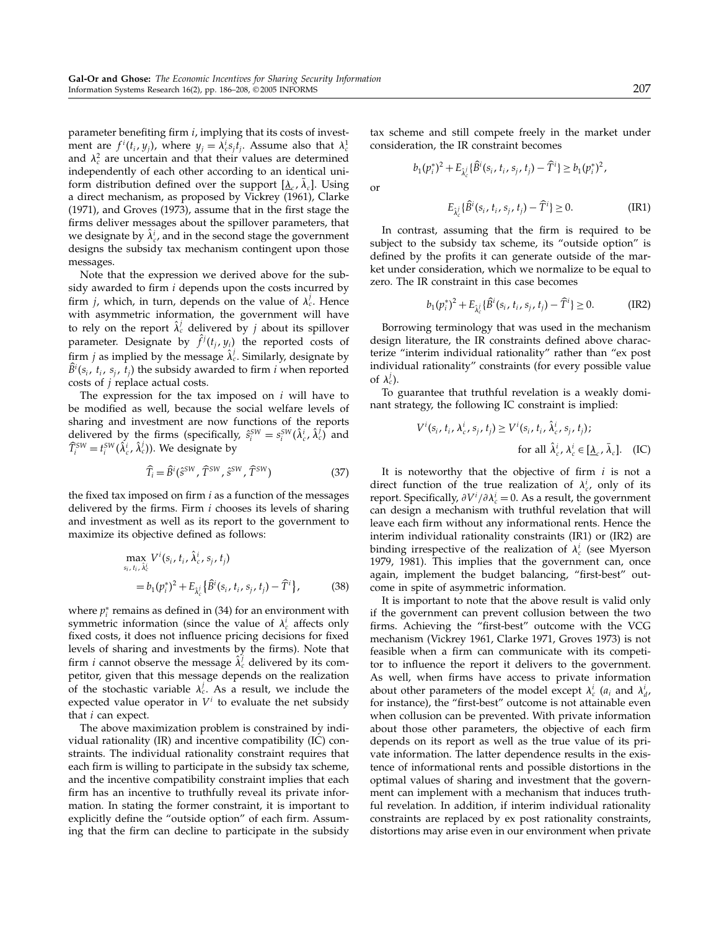parameter benefiting firm i, implying that its costs of investment are  $f^{i}(t_{i}, y_{j})$ , where  $y_{j} = \lambda_{c}^{i} s_{j} t_{j}$ . Assume also that  $\lambda_{c}^{1}$ and  $\lambda_c^2$  are uncertain and that their values are determined independently of each other according to an identical uniform distribution defined over the support  $[\underline{\lambda}_c, \lambda_c].$  Using a direct mechanism, as proposed by Vickrey (1961), Clarke (1971), and Groves (1973), assume that in the first stage the firms deliver messages about the spillover parameters, that we designate by  $\hat{\lambda}_{c}^{i}$ , and in the second stage the government designs the subsidy tax mechanism contingent upon those messages.

Note that the expression we derived above for the subsidy awarded to firm i depends upon the costs incurred by firm *j*, which, in turn, depends on the value of  $\lambda_c^j$ . Hence with asymmetric information, the government will have to rely on the report  $\hat{\lambda}_c^j$  delivered by *j* about its spillover parameter. Designate by  $f^j(t_j, y_i)$  the reported costs of firm  $j$  as implied by the message  $\hat{\lambda}^j_c$ . Similarly, designate by  $\hat{B}^i(s_i, t_i, s_j, t_j)$  the subsidy awarded to firm *i* when reported costs of j replace actual costs.

The expression for the tax imposed on  $i$  will have to be modified as well, because the social welfare levels of sharing and investment are now functions of the reports delivered by the firms (specifically,  $\hat{s}_i^{SW} = s_i^{SW}(\hat{\lambda}_c^i, \hat{\lambda}_c^j)$  and  $\widehat{T}_{i}^{\text{SW}} = t_{i}^{\text{SW}}(\widehat{\lambda}_{c}^{i}, \widehat{\lambda}_{c}^{j}))$ . We designate by

$$
\widehat{T}_i = \widehat{B}^i(\widehat{s}^{SW}, \widehat{T}^{SW}, \widehat{s}^{SW}, \widehat{T}^{SW})
$$
\n(37)

the fixed tax imposed on firm  $i$  as a function of the messages delivered by the firms. Firm  $i$  chooses its levels of sharing and investment as well as its report to the government to maximize its objective defined as follows:

$$
\max_{s_i, t_i, \hat{\lambda}_c^i} V^i(s_i, t_i, \hat{\lambda}_c^i, s_j, t_j) \n= b_1(p_i^*)^2 + E_{\hat{\lambda}_c^i} {\hat{B}^i(s_i, t_i, s_j, t_j) - \hat{T}^i},
$$
\n(38)

where  $p_i^*$  remains as defined in (34) for an environment with symmetric information (since the value of  $\lambda_c^i$  affects only fixed costs, it does not influence pricing decisions for fixed levels of sharing and investments by the firms). Note that firm *i* cannot observe the message  $\hat{\lambda}_c^j$  delivered by its competitor, given that this message depends on the realization of the stochastic variable  $\lambda_c^j$ . As a result, we include the expected value operator in  $V^i$  to evaluate the net subsidy that *i* can expect.

The above maximization problem is constrained by individual rationality (IR) and incentive compatibility (IC) constraints. The individual rationality constraint requires that each firm is willing to participate in the subsidy tax scheme, and the incentive compatibility constraint implies that each firm has an incentive to truthfully reveal its private information. In stating the former constraint, it is important to explicitly define the "outside option" of each firm. Assuming that the firm can decline to participate in the subsidy

tax scheme and still compete freely in the market under consideration, the IR constraint becomes

or

$$
b_1(p_i^*)^2 + E_{\lambda_c^j} \{\hat{B}^i(s_i, t_i, s_j, t_j) - \widehat{T}^i\} \ge b_1(p_i^*)^2,
$$

$$
E_{\hat{\lambda}_c^j}\{\hat{B}^i(s_i, t_i, s_j, t_j) - \hat{T}^i\} \ge 0.
$$
 (IR1)

In contrast, assuming that the firm is required to be subject to the subsidy tax scheme, its "outside option" is defined by the profits it can generate outside of the market under consideration, which we normalize to be equal to zero. The IR constraint in this case becomes

$$
b_1(p_i^*)^2 + E_{\hat{\lambda}_c^j} \{ \hat{B}^i(s_i, t_i, s_j, t_j) - \hat{T}^i \} \ge 0.
$$
 (IR2)

Borrowing terminology that was used in the mechanism design literature, the IR constraints defined above characterize "interim individual rationality" rather than "ex post individual rationality" constraints (for every possible value of  $\lambda_c^j$ ).

To guarantee that truthful revelation is a weakly dominant strategy, the following IC constraint is implied:

$$
V^{i}(s_{i}, t_{i}, \lambda_{c}^{i}, s_{j}, t_{j}) \geq V^{i}(s_{i}, t_{i}, \hat{\lambda}_{c}^{i}, s_{j}, t_{j});
$$
  
for all  $\hat{\lambda}_{c}^{i}, \lambda_{c}^{i} \in [\underline{\lambda}_{c}, \bar{\lambda}_{c}].$  (IC)

It is noteworthy that the objective of firm  $i$  is not a direct function of the true realization of  $\lambda_c^i$ , only of its report. Specifically,  $\partial V^i/\partial \lambda_c^i = 0$ . As a result, the government can design a mechanism with truthful revelation that will leave each firm without any informational rents. Hence the interim individual rationality constraints (IR1) or (IR2) are binding irrespective of the realization of  $\lambda_c^i$  (see Myerson 1979, 1981). This implies that the government can, once again, implement the budget balancing, "first-best" outcome in spite of asymmetric information.

It is important to note that the above result is valid only if the government can prevent collusion between the two firms. Achieving the "first-best" outcome with the VCG mechanism (Vickrey 1961, Clarke 1971, Groves 1973) is not feasible when a firm can communicate with its competitor to influence the report it delivers to the government. As well, when firms have access to private information about other parameters of the model except  $\lambda_c^i$  ( $a_i$  and  $\lambda_d^i$ , for instance), the "first-best" outcome is not attainable even when collusion can be prevented. With private information about those other parameters, the objective of each firm depends on its report as well as the true value of its private information. The latter dependence results in the existence of informational rents and possible distortions in the optimal values of sharing and investment that the government can implement with a mechanism that induces truthful revelation. In addition, if interim individual rationality constraints are replaced by ex post rationality constraints, distortions may arise even in our environment when private